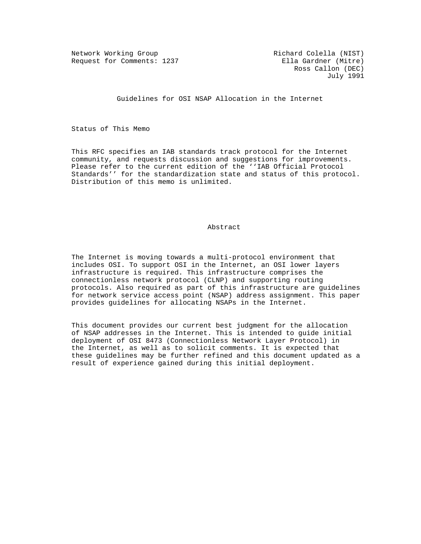Network Working Group and Months Richard Colella (NIST) Request for Comments: 1237 Ella Gardner (Mitre)

Guidelines for OSI NSAP Allocation in the Internet

Status of This Memo

 This RFC specifies an IAB standards track protocol for the Internet community, and requests discussion and suggestions for improvements. Please refer to the current edition of the ''IAB Official Protocol Standards'' for the standardization state and status of this protocol. Distribution of this memo is unlimited.

### Abstract

 The Internet is moving towards a multi-protocol environment that includes OSI. To support OSI in the Internet, an OSI lower layers infrastructure is required. This infrastructure comprises the connectionless network protocol (CLNP) and supporting routing protocols. Also required as part of this infrastructure are guidelines for network service access point (NSAP) address assignment. This paper provides guidelines for allocating NSAPs in the Internet.

 This document provides our current best judgment for the allocation of NSAP addresses in the Internet. This is intended to guide initial deployment of OSI 8473 (Connectionless Network Layer Protocol) in the Internet, as well as to solicit comments. It is expected that these guidelines may be further refined and this document updated as a result of experience gained during this initial deployment.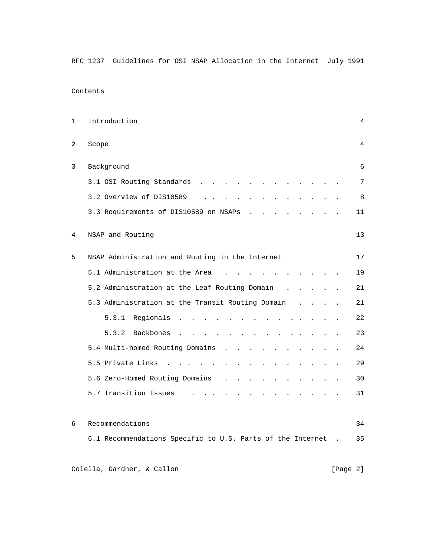Contents

| 1 | Introduction                                               | 4  |
|---|------------------------------------------------------------|----|
| 2 | Scope                                                      | 4  |
| 3 | Background                                                 | 6  |
|   | 3.1 OSI Routing Standards                                  | 7  |
|   | 3.2 Overview of DIS10589                                   | 8  |
|   | 3.3 Requirements of DIS10589 on NSAPs                      | 11 |
| 4 | NSAP and Routing                                           | 13 |
| 5 | NSAP Administration and Routing in the Internet            | 17 |
|   | 5.1 Administration at the Area                             | 19 |
|   | 5.2 Administration at the Leaf Routing Domain              | 21 |
|   | 5.3 Administration at the Transit Routing Domain           | 21 |
|   | 5.3.1<br>Regionals                                         | 22 |
|   | 5.3.2 Backbones                                            | 23 |
|   | 5.4 Multi-homed Routing Domains                            | 24 |
|   | 5.5 Private Links<br>$\sim$                                | 29 |
|   | 5.6 Zero-Homed Routing Domains                             | 30 |
|   | 5.7 Transition Issues                                      | 31 |
| 6 | Recommendations                                            | 34 |
|   | 6.1 Recommendations Specific to U.S. Parts of the Internet | 35 |

Colella, Gardner, & Callon (2008) [Page 2]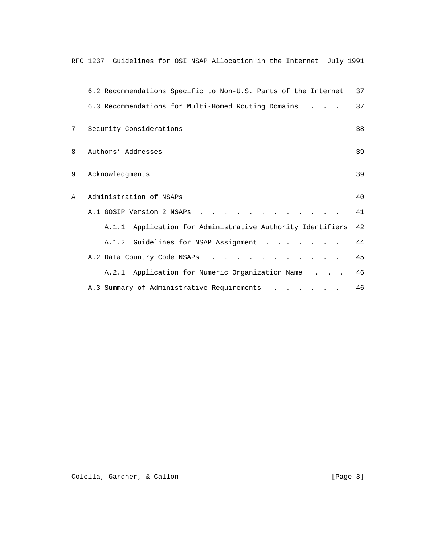|   | 6.2 Recommendations Specific to Non-U.S. Parts of the Internet | 37 |
|---|----------------------------------------------------------------|----|
|   | 6.3 Recommendations for Multi-Homed Routing Domains            | 37 |
| 7 | Security Considerations                                        | 38 |
| 8 | Authors' Addresses                                             | 39 |
| 9 | Acknowledgments                                                | 39 |
| A | Administration of NSAPs                                        | 40 |
|   | A.1 GOSIP Version 2 NSAPs                                      | 41 |
|   | A.1.1 Application for Administrative Authority Identifiers     | 42 |
|   | A.1.2 Guidelines for NSAP Assignment .                         | 44 |
|   | A.2 Data Country Code NSAPs                                    | 45 |
|   | A.2.1 Application for Numeric Organization Name                | 46 |
|   | A.3 Summary of Administrative Requirements                     | 46 |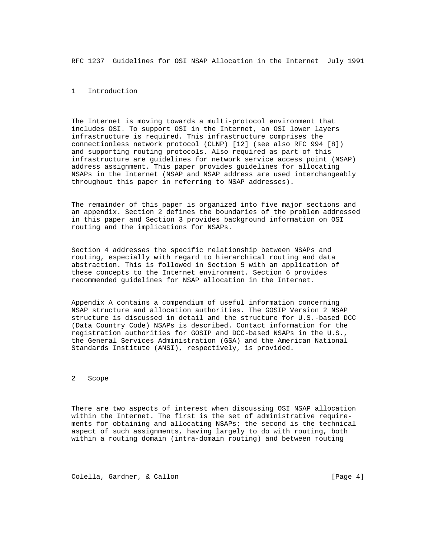# 1 Introduction

 The Internet is moving towards a multi-protocol environment that includes OSI. To support OSI in the Internet, an OSI lower layers infrastructure is required. This infrastructure comprises the connectionless network protocol (CLNP) [12] (see also RFC 994 [8]) and supporting routing protocols. Also required as part of this infrastructure are guidelines for network service access point (NSAP) address assignment. This paper provides guidelines for allocating NSAPs in the Internet (NSAP and NSAP address are used interchangeably throughout this paper in referring to NSAP addresses).

 The remainder of this paper is organized into five major sections and an appendix. Section 2 defines the boundaries of the problem addressed in this paper and Section 3 provides background information on OSI routing and the implications for NSAPs.

 Section 4 addresses the specific relationship between NSAPs and routing, especially with regard to hierarchical routing and data abstraction. This is followed in Section 5 with an application of these concepts to the Internet environment. Section 6 provides recommended guidelines for NSAP allocation in the Internet.

 Appendix A contains a compendium of useful information concerning NSAP structure and allocation authorities. The GOSIP Version 2 NSAP structure is discussed in detail and the structure for U.S.-based DCC (Data Country Code) NSAPs is described. Contact information for the registration authorities for GOSIP and DCC-based NSAPs in the U.S., the General Services Administration (GSA) and the American National Standards Institute (ANSI), respectively, is provided.

#### 2 Scope

 There are two aspects of interest when discussing OSI NSAP allocation within the Internet. The first is the set of administrative require ments for obtaining and allocating NSAPs; the second is the technical aspect of such assignments, having largely to do with routing, both within a routing domain (intra-domain routing) and between routing

Colella, Gardner, & Callon (Page 4)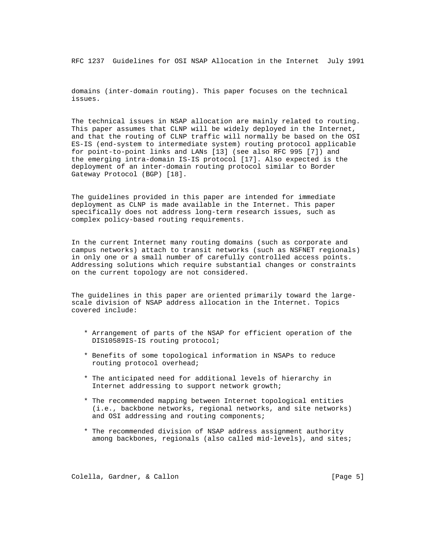domains (inter-domain routing). This paper focuses on the technical issues.

 The technical issues in NSAP allocation are mainly related to routing. This paper assumes that CLNP will be widely deployed in the Internet, and that the routing of CLNP traffic will normally be based on the OSI ES-IS (end-system to intermediate system) routing protocol applicable for point-to-point links and LANs [13] (see also RFC 995 [7]) and the emerging intra-domain IS-IS protocol [17]. Also expected is the deployment of an inter-domain routing protocol similar to Border Gateway Protocol (BGP) [18].

 The guidelines provided in this paper are intended for immediate deployment as CLNP is made available in the Internet. This paper specifically does not address long-term research issues, such as complex policy-based routing requirements.

 In the current Internet many routing domains (such as corporate and campus networks) attach to transit networks (such as NSFNET regionals) in only one or a small number of carefully controlled access points. Addressing solutions which require substantial changes or constraints on the current topology are not considered.

 The guidelines in this paper are oriented primarily toward the large scale division of NSAP address allocation in the Internet. Topics covered include:

- \* Arrangement of parts of the NSAP for efficient operation of the DIS10589IS-IS routing protocol;
- \* Benefits of some topological information in NSAPs to reduce routing protocol overhead;
- \* The anticipated need for additional levels of hierarchy in Internet addressing to support network growth;
- \* The recommended mapping between Internet topological entities (i.e., backbone networks, regional networks, and site networks) and OSI addressing and routing components;
- \* The recommended division of NSAP address assignment authority among backbones, regionals (also called mid-levels), and sites;

Colella, Gardner, & Callon (Page 5)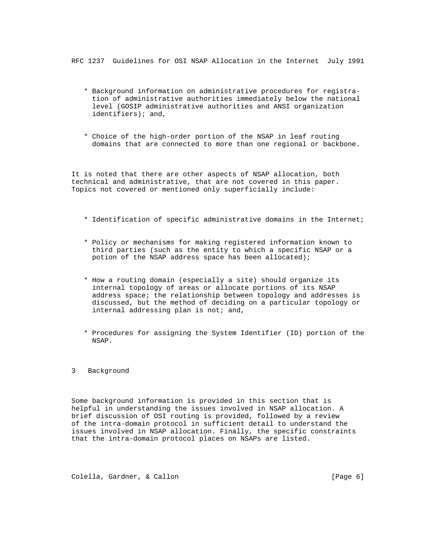- \* Background information on administrative procedures for registra tion of administrative authorities immediately below the national level (GOSIP administrative authorities and ANSI organization identifiers); and,
- \* Choice of the high-order portion of the NSAP in leaf routing domains that are connected to more than one regional or backbone.

 It is noted that there are other aspects of NSAP allocation, both technical and administrative, that are not covered in this paper. Topics not covered or mentioned only superficially include:

- \* Identification of specific administrative domains in the Internet;
- \* Policy or mechanisms for making registered information known to third parties (such as the entity to which a specific NSAP or a potion of the NSAP address space has been allocated);
- \* How a routing domain (especially a site) should organize its internal topology of areas or allocate portions of its NSAP address space; the relationship between topology and addresses is discussed, but the method of deciding on a particular topology or internal addressing plan is not; and,
- \* Procedures for assigning the System Identifier (ID) portion of the NSAP.

## 3 Background

 Some background information is provided in this section that is helpful in understanding the issues involved in NSAP allocation. A brief discussion of OSI routing is provided, followed by a review of the intra-domain protocol in sufficient detail to understand the issues involved in NSAP allocation. Finally, the specific constraints that the intra-domain protocol places on NSAPs are listed.

Colella, Gardner, & Callon (Page 6)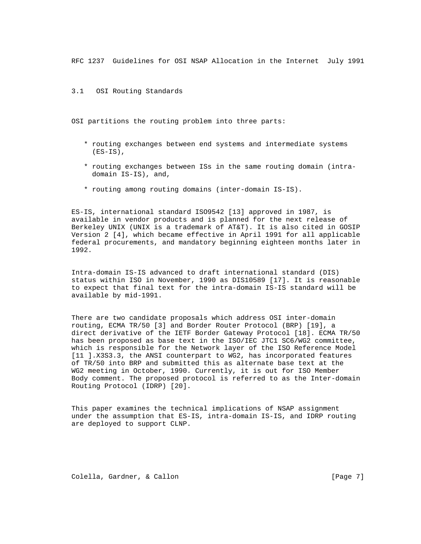### 3.1 OSI Routing Standards

OSI partitions the routing problem into three parts:

- \* routing exchanges between end systems and intermediate systems  $(ES-IS)$ ,
- \* routing exchanges between ISs in the same routing domain (intra domain IS-IS), and,
- \* routing among routing domains (inter-domain IS-IS).

 ES-IS, international standard ISO9542 [13] approved in 1987, is available in vendor products and is planned for the next release of Berkeley UNIX (UNIX is a trademark of AT&T). It is also cited in GOSIP Version 2 [4], which became effective in April 1991 for all applicable federal procurements, and mandatory beginning eighteen months later in 1992.

 Intra-domain IS-IS advanced to draft international standard (DIS) status within ISO in November, 1990 as DIS10589 [17]. It is reasonable to expect that final text for the intra-domain IS-IS standard will be available by mid-1991.

 There are two candidate proposals which address OSI inter-domain routing, ECMA TR/50 [3] and Border Router Protocol (BRP) [19], a direct derivative of the IETF Border Gateway Protocol [18]. ECMA TR/50 has been proposed as base text in the ISO/IEC JTC1 SC6/WG2 committee, which is responsible for the Network layer of the ISO Reference Model [11 ].X3S3.3, the ANSI counterpart to WG2, has incorporated features of TR/50 into BRP and submitted this as alternate base text at the WG2 meeting in October, 1990. Currently, it is out for ISO Member Body comment. The proposed protocol is referred to as the Inter-domain Routing Protocol (IDRP) [20].

 This paper examines the technical implications of NSAP assignment under the assumption that ES-IS, intra-domain IS-IS, and IDRP routing are deployed to support CLNP.

Colella, Gardner, & Callon (Page 7)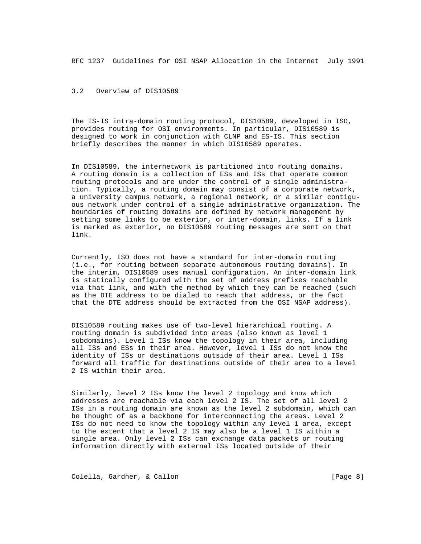#### 3.2 Overview of DIS10589

 The IS-IS intra-domain routing protocol, DIS10589, developed in ISO, provides routing for OSI environments. In particular, DIS10589 is designed to work in conjunction with CLNP and ES-IS. This section briefly describes the manner in which DIS10589 operates.

 In DIS10589, the internetwork is partitioned into routing domains. A routing domain is a collection of ESs and ISs that operate common routing protocols and are under the control of a single administra tion. Typically, a routing domain may consist of a corporate network, a university campus network, a regional network, or a similar contigu ous network under control of a single administrative organization. The boundaries of routing domains are defined by network management by setting some links to be exterior, or inter-domain, links. If a link is marked as exterior, no DIS10589 routing messages are sent on that link.

 Currently, ISO does not have a standard for inter-domain routing (i.e., for routing between separate autonomous routing domains). In the interim, DIS10589 uses manual configuration. An inter-domain link is statically configured with the set of address prefixes reachable via that link, and with the method by which they can be reached (such as the DTE address to be dialed to reach that address, or the fact that the DTE address should be extracted from the OSI NSAP address).

 DIS10589 routing makes use of two-level hierarchical routing. A routing domain is subdivided into areas (also known as level 1 subdomains). Level 1 ISs know the topology in their area, including all ISs and ESs in their area. However, level 1 ISs do not know the identity of ISs or destinations outside of their area. Level 1 ISs forward all traffic for destinations outside of their area to a level 2 IS within their area.

 Similarly, level 2 ISs know the level 2 topology and know which addresses are reachable via each level 2 IS. The set of all level 2 ISs in a routing domain are known as the level 2 subdomain, which can be thought of as a backbone for interconnecting the areas. Level 2 ISs do not need to know the topology within any level 1 area, except to the extent that a level 2 IS may also be a level 1 IS within a single area. Only level 2 ISs can exchange data packets or routing information directly with external ISs located outside of their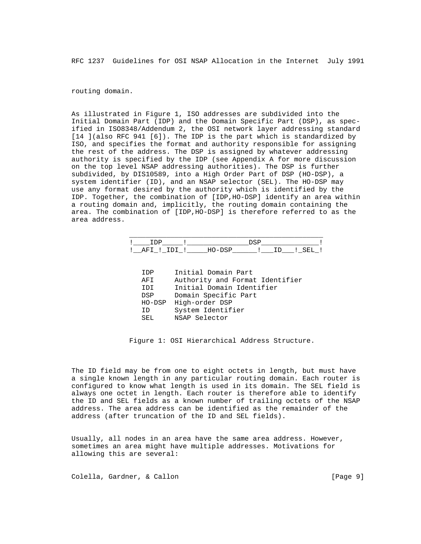routing domain.

 As illustrated in Figure 1, ISO addresses are subdivided into the Initial Domain Part (IDP) and the Domain Specific Part (DSP), as spec ified in ISO8348/Addendum 2, the OSI network layer addressing standard [14 ](also RFC 941 [6]). The IDP is the part which is standardized by ISO, and specifies the format and authority responsible for assigning the rest of the address. The DSP is assigned by whatever addressing authority is specified by the IDP (see Appendix A for more discussion on the top level NSAP addressing authorities). The DSP is further subdivided, by DIS10589, into a High Order Part of DSP (HO-DSP), a system identifier (ID), and an NSAP selector (SEL). The HO-DSP may use any format desired by the authority which is identified by the IDP. Together, the combination of [IDP,HO-DSP] identify an area within a routing domain and, implicitly, the routing domain containing the area. The combination of [IDP,HO-DSP] is therefore referred to as the area address.

|  | - ⊶'<br>._<br>. . |  |  |
|--|-------------------|--|--|

| IDP  | Initial Domain Part             |
|------|---------------------------------|
| AFI  | Authority and Format Identifier |
| IDI  | Initial Domain Identifier       |
| DSP  | Domain Specific Part            |
|      | HO-DSP High-order DSP           |
| ID.  | System Identifier               |
| SEL. | NSAP Selector                   |

Figure 1: OSI Hierarchical Address Structure.

 The ID field may be from one to eight octets in length, but must have a single known length in any particular routing domain. Each router is configured to know what length is used in its domain. The SEL field is always one octet in length. Each router is therefore able to identify the ID and SEL fields as a known number of trailing octets of the NSAP address. The area address can be identified as the remainder of the address (after truncation of the ID and SEL fields).

 Usually, all nodes in an area have the same area address. However, sometimes an area might have multiple addresses. Motivations for allowing this are several:

Colella, Gardner, & Callon (Page 9)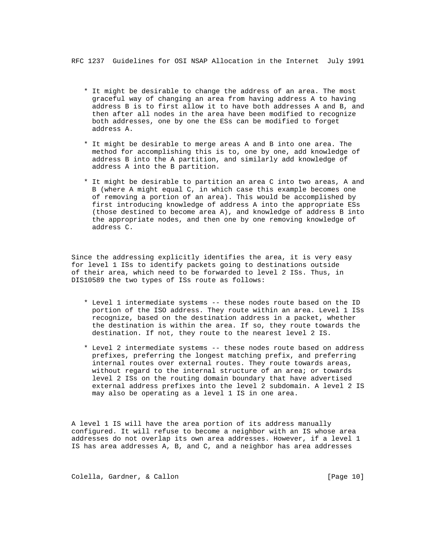- \* It might be desirable to change the address of an area. The most graceful way of changing an area from having address A to having address B is to first allow it to have both addresses A and B, and then after all nodes in the area have been modified to recognize both addresses, one by one the ESs can be modified to forget address A.
- \* It might be desirable to merge areas A and B into one area. The method for accomplishing this is to, one by one, add knowledge of address B into the A partition, and similarly add knowledge of address A into the B partition.
- \* It might be desirable to partition an area C into two areas, A and B (where A might equal C, in which case this example becomes one of removing a portion of an area). This would be accomplished by first introducing knowledge of address A into the appropriate ESs (those destined to become area A), and knowledge of address B into the appropriate nodes, and then one by one removing knowledge of address C.

 Since the addressing explicitly identifies the area, it is very easy for level 1 ISs to identify packets going to destinations outside of their area, which need to be forwarded to level 2 ISs. Thus, in DIS10589 the two types of ISs route as follows:

- \* Level 1 intermediate systems -- these nodes route based on the ID portion of the ISO address. They route within an area. Level 1 ISs recognize, based on the destination address in a packet, whether the destination is within the area. If so, they route towards the destination. If not, they route to the nearest level 2 IS.
- \* Level 2 intermediate systems -- these nodes route based on address prefixes, preferring the longest matching prefix, and preferring internal routes over external routes. They route towards areas, without regard to the internal structure of an area; or towards level 2 ISs on the routing domain boundary that have advertised external address prefixes into the level 2 subdomain. A level 2 IS may also be operating as a level 1 IS in one area.

 A level 1 IS will have the area portion of its address manually configured. It will refuse to become a neighbor with an IS whose area addresses do not overlap its own area addresses. However, if a level 1 IS has area addresses A, B, and C, and a neighbor has area addresses

Colella, Gardner, & Callon [Page 10]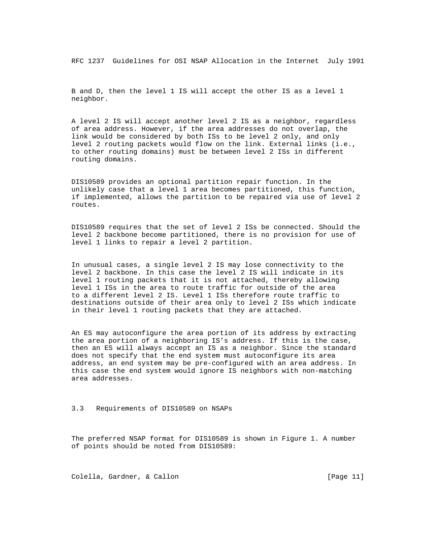B and D, then the level 1 IS will accept the other IS as a level 1 neighbor.

 A level 2 IS will accept another level 2 IS as a neighbor, regardless of area address. However, if the area addresses do not overlap, the link would be considered by both ISs to be level 2 only, and only level 2 routing packets would flow on the link. External links (i.e., to other routing domains) must be between level 2 ISs in different routing domains.

 DIS10589 provides an optional partition repair function. In the unlikely case that a level 1 area becomes partitioned, this function, if implemented, allows the partition to be repaired via use of level 2 routes.

 DIS10589 requires that the set of level 2 ISs be connected. Should the level 2 backbone become partitioned, there is no provision for use of level 1 links to repair a level 2 partition.

 In unusual cases, a single level 2 IS may lose connectivity to the level 2 backbone. In this case the level 2 IS will indicate in its level 1 routing packets that it is not attached, thereby allowing level 1 ISs in the area to route traffic for outside of the area to a different level 2 IS. Level 1 ISs therefore route traffic to destinations outside of their area only to level 2 ISs which indicate in their level 1 routing packets that they are attached.

 An ES may autoconfigure the area portion of its address by extracting the area portion of a neighboring IS's address. If this is the case, then an ES will always accept an IS as a neighbor. Since the standard does not specify that the end system must autoconfigure its area address, an end system may be pre-configured with an area address. In this case the end system would ignore IS neighbors with non-matching area addresses.

3.3 Requirements of DIS10589 on NSAPs

 The preferred NSAP format for DIS10589 is shown in Figure 1. A number of points should be noted from DIS10589:

Colella, Gardner, & Callon [Page 11]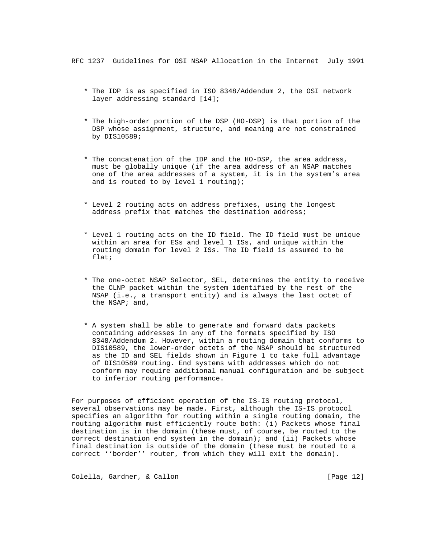- \* The IDP is as specified in ISO 8348/Addendum 2, the OSI network layer addressing standard [14];
- \* The high-order portion of the DSP (HO-DSP) is that portion of the DSP whose assignment, structure, and meaning are not constrained by DIS10589;
- \* The concatenation of the IDP and the HO-DSP, the area address, must be globally unique (if the area address of an NSAP matches one of the area addresses of a system, it is in the system's area and is routed to by level 1 routing);
- \* Level 2 routing acts on address prefixes, using the longest address prefix that matches the destination address;
- \* Level 1 routing acts on the ID field. The ID field must be unique within an area for ESs and level 1 ISs, and unique within the routing domain for level 2 ISs. The ID field is assumed to be flat;
- \* The one-octet NSAP Selector, SEL, determines the entity to receive the CLNP packet within the system identified by the rest of the NSAP (i.e., a transport entity) and is always the last octet of the NSAP; and,
- \* A system shall be able to generate and forward data packets containing addresses in any of the formats specified by ISO 8348/Addendum 2. However, within a routing domain that conforms to DIS10589, the lower-order octets of the NSAP should be structured as the ID and SEL fields shown in Figure 1 to take full advantage of DIS10589 routing. End systems with addresses which do not conform may require additional manual configuration and be subject to inferior routing performance.

 For purposes of efficient operation of the IS-IS routing protocol, several observations may be made. First, although the IS-IS protocol specifies an algorithm for routing within a single routing domain, the routing algorithm must efficiently route both: (i) Packets whose final destination is in the domain (these must, of course, be routed to the correct destination end system in the domain); and (ii) Packets whose final destination is outside of the domain (these must be routed to a correct ''border'' router, from which they will exit the domain).

Colella, Gardner, & Callon [Page 12]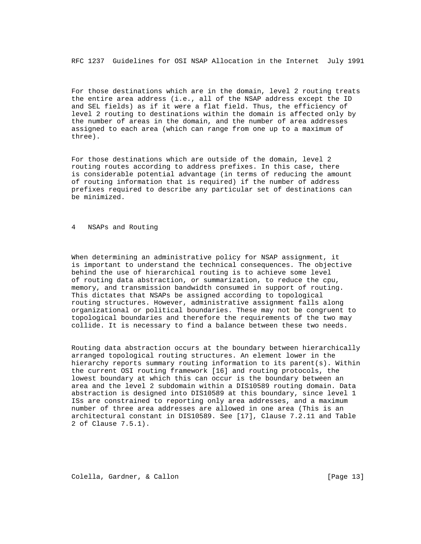For those destinations which are in the domain, level 2 routing treats the entire area address (i.e., all of the NSAP address except the ID and SEL fields) as if it were a flat field. Thus, the efficiency of level 2 routing to destinations within the domain is affected only by the number of areas in the domain, and the number of area addresses assigned to each area (which can range from one up to a maximum of three).

 For those destinations which are outside of the domain, level 2 routing routes according to address prefixes. In this case, there is considerable potential advantage (in terms of reducing the amount of routing information that is required) if the number of address prefixes required to describe any particular set of destinations can be minimized.

4 NSAPs and Routing

 When determining an administrative policy for NSAP assignment, it is important to understand the technical consequences. The objective behind the use of hierarchical routing is to achieve some level of routing data abstraction, or summarization, to reduce the cpu, memory, and transmission bandwidth consumed in support of routing. This dictates that NSAPs be assigned according to topological routing structures. However, administrative assignment falls along organizational or political boundaries. These may not be congruent to topological boundaries and therefore the requirements of the two may collide. It is necessary to find a balance between these two needs.

 Routing data abstraction occurs at the boundary between hierarchically arranged topological routing structures. An element lower in the hierarchy reports summary routing information to its parent(s). Within the current OSI routing framework [16] and routing protocols, the lowest boundary at which this can occur is the boundary between an area and the level 2 subdomain within a DIS10589 routing domain. Data abstraction is designed into DIS10589 at this boundary, since level 1 ISs are constrained to reporting only area addresses, and a maximum number of three area addresses are allowed in one area (This is an architectural constant in DIS10589. See [17], Clause 7.2.11 and Table 2 of Clause 7.5.1).

Colella, Gardner, & Callon [Page 13]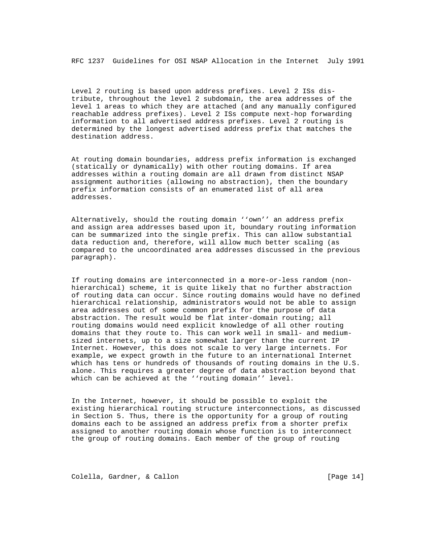Level 2 routing is based upon address prefixes. Level 2 ISs dis tribute, throughout the level 2 subdomain, the area addresses of the level 1 areas to which they are attached (and any manually configured reachable address prefixes). Level 2 ISs compute next-hop forwarding information to all advertised address prefixes. Level 2 routing is determined by the longest advertised address prefix that matches the destination address.

 At routing domain boundaries, address prefix information is exchanged (statically or dynamically) with other routing domains. If area addresses within a routing domain are all drawn from distinct NSAP assignment authorities (allowing no abstraction), then the boundary prefix information consists of an enumerated list of all area addresses.

 Alternatively, should the routing domain ''own'' an address prefix and assign area addresses based upon it, boundary routing information can be summarized into the single prefix. This can allow substantial data reduction and, therefore, will allow much better scaling (as compared to the uncoordinated area addresses discussed in the previous paragraph).

 If routing domains are interconnected in a more-or-less random (non hierarchical) scheme, it is quite likely that no further abstraction of routing data can occur. Since routing domains would have no defined hierarchical relationship, administrators would not be able to assign area addresses out of some common prefix for the purpose of data abstraction. The result would be flat inter-domain routing; all routing domains would need explicit knowledge of all other routing domains that they route to. This can work well in small- and medium sized internets, up to a size somewhat larger than the current IP Internet. However, this does not scale to very large internets. For example, we expect growth in the future to an international Internet which has tens or hundreds of thousands of routing domains in the U.S. alone. This requires a greater degree of data abstraction beyond that which can be achieved at the ''routing domain'' level.

 In the Internet, however, it should be possible to exploit the existing hierarchical routing structure interconnections, as discussed in Section 5. Thus, there is the opportunity for a group of routing domains each to be assigned an address prefix from a shorter prefix assigned to another routing domain whose function is to interconnect the group of routing domains. Each member of the group of routing

Colella, Gardner, & Callon [Page 14]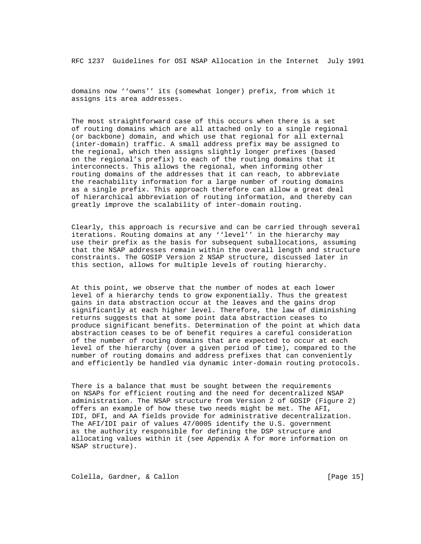domains now ''owns'' its (somewhat longer) prefix, from which it assigns its area addresses.

 The most straightforward case of this occurs when there is a set of routing domains which are all attached only to a single regional (or backbone) domain, and which use that regional for all external (inter-domain) traffic. A small address prefix may be assigned to the regional, which then assigns slightly longer prefixes (based on the regional's prefix) to each of the routing domains that it interconnects. This allows the regional, when informing other routing domains of the addresses that it can reach, to abbreviate the reachability information for a large number of routing domains as a single prefix. This approach therefore can allow a great deal of hierarchical abbreviation of routing information, and thereby can greatly improve the scalability of inter-domain routing.

 Clearly, this approach is recursive and can be carried through several iterations. Routing domains at any ''level'' in the hierarchy may use their prefix as the basis for subsequent suballocations, assuming that the NSAP addresses remain within the overall length and structure constraints. The GOSIP Version 2 NSAP structure, discussed later in this section, allows for multiple levels of routing hierarchy.

 At this point, we observe that the number of nodes at each lower level of a hierarchy tends to grow exponentially. Thus the greatest gains in data abstraction occur at the leaves and the gains drop significantly at each higher level. Therefore, the law of diminishing returns suggests that at some point data abstraction ceases to produce significant benefits. Determination of the point at which data abstraction ceases to be of benefit requires a careful consideration of the number of routing domains that are expected to occur at each level of the hierarchy (over a given period of time), compared to the number of routing domains and address prefixes that can conveniently and efficiently be handled via dynamic inter-domain routing protocols.

There is a balance that must be sought between the requirements on NSAPs for efficient routing and the need for decentralized NSAP administration. The NSAP structure from Version 2 of GOSIP (Figure 2) offers an example of how these two needs might be met. The AFI, IDI, DFI, and AA fields provide for administrative decentralization. The AFI/IDI pair of values 47/0005 identify the U.S. government as the authority responsible for defining the DSP structure and allocating values within it (see Appendix A for more information on NSAP structure).

Colella, Gardner, & Callon [Page 15]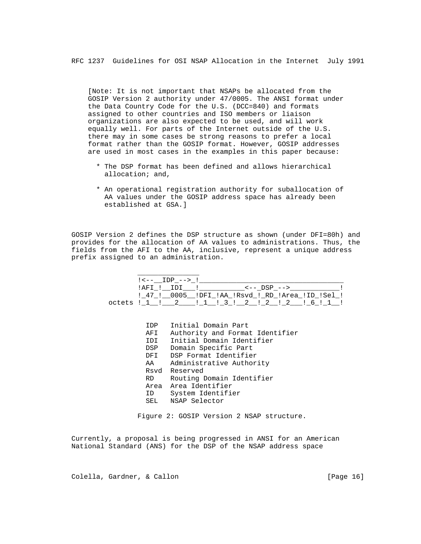[Note: It is not important that NSAPs be allocated from the GOSIP Version 2 authority under 47/0005. The ANSI format under the Data Country Code for the U.S. (DCC=840) and formats assigned to other countries and ISO members or liaison organizations are also expected to be used, and will work equally well. For parts of the Internet outside of the U.S. there may in some cases be strong reasons to prefer a local format rather than the GOSIP format. However, GOSIP addresses are used in most cases in the examples in this paper because:

- \* The DSP format has been defined and allows hierarchical allocation; and,
- \* An operational registration authority for suballocation of AA values under the GOSIP address space has already been established at GSA.]

 GOSIP Version 2 defines the DSP structure as shown (under DFI=80h) and provides for the allocation of AA values to administrations. Thus, the fields from the AFI to the AA, inclusive, represent a unique address prefix assigned to an administration.

| !<-- IDP --> !                               |  |
|----------------------------------------------|--|
| !AFI ! IDI ! ! <-- DSP --> !                 |  |
|                                              |  |
| octets ! 1 ! 2 ! 1 ! 3 ! 2 ! 2 ! 2 ! 6 ! 1 ! |  |

| IDP  | Initial Domain Part             |
|------|---------------------------------|
| AFI  | Authority and Format Identifier |
| IDI  | Initial Domain Identifier       |
| DSP  | Domain Specific Part            |
| DFI  | DSP Format Identifier           |
| AA   | Administrative Authority        |
|      | Rsvd Reserved                   |
| RD – | Routing Domain Identifier       |
|      | Area Area Identifier            |
| ID   | System Identifier               |
| SEL  | NSAP Selector                   |

Figure 2: GOSIP Version 2 NSAP structure.

 Currently, a proposal is being progressed in ANSI for an American National Standard (ANS) for the DSP of the NSAP address space

Colella, Gardner, & Callon [Page 16]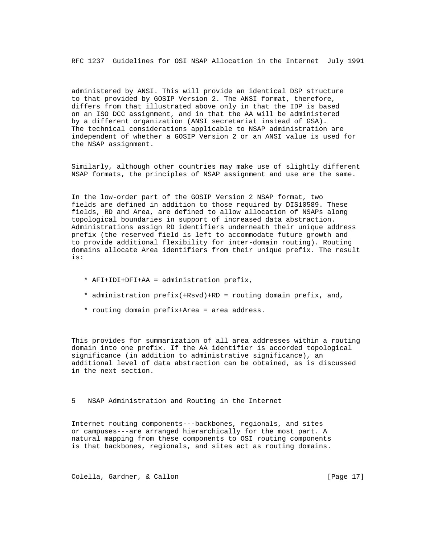administered by ANSI. This will provide an identical DSP structure to that provided by GOSIP Version 2. The ANSI format, therefore, differs from that illustrated above only in that the IDP is based on an ISO DCC assignment, and in that the AA will be administered by a different organization (ANSI secretariat instead of GSA). The technical considerations applicable to NSAP administration are independent of whether a GOSIP Version 2 or an ANSI value is used for the NSAP assignment.

 Similarly, although other countries may make use of slightly different NSAP formats, the principles of NSAP assignment and use are the same.

 In the low-order part of the GOSIP Version 2 NSAP format, two fields are defined in addition to those required by DIS10589. These fields, RD and Area, are defined to allow allocation of NSAPs along topological boundaries in support of increased data abstraction. Administrations assign RD identifiers underneath their unique address prefix (the reserved field is left to accommodate future growth and to provide additional flexibility for inter-domain routing). Routing domains allocate Area identifiers from their unique prefix. The result is:

- \* AFI+IDI+DFI+AA = administration prefix,
- \* administration prefix(+Rsvd)+RD = routing domain prefix, and,
- \* routing domain prefix+Area = area address.

 This provides for summarization of all area addresses within a routing domain into one prefix. If the AA identifier is accorded topological significance (in addition to administrative significance), an additional level of data abstraction can be obtained, as is discussed in the next section.

5 NSAP Administration and Routing in the Internet

 Internet routing components---backbones, regionals, and sites or campuses---are arranged hierarchically for the most part. A natural mapping from these components to OSI routing components is that backbones, regionals, and sites act as routing domains.

Colella, Gardner, & Callon [Page 17]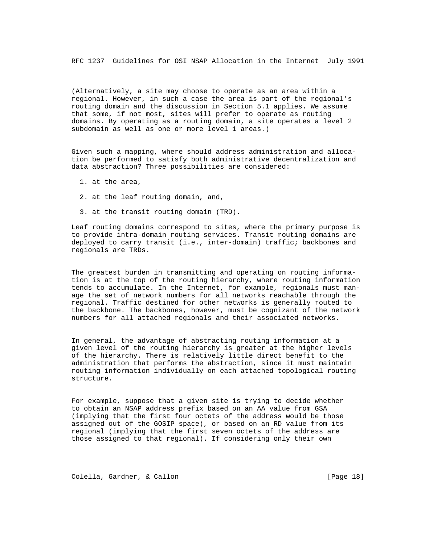(Alternatively, a site may choose to operate as an area within a regional. However, in such a case the area is part of the regional's routing domain and the discussion in Section 5.1 applies. We assume that some, if not most, sites will prefer to operate as routing domains. By operating as a routing domain, a site operates a level 2 subdomain as well as one or more level 1 areas.)

 Given such a mapping, where should address administration and alloca tion be performed to satisfy both administrative decentralization and data abstraction? Three possibilities are considered:

- 1. at the area,
- 2. at the leaf routing domain, and,
- 3. at the transit routing domain (TRD).

 Leaf routing domains correspond to sites, where the primary purpose is to provide intra-domain routing services. Transit routing domains are deployed to carry transit (i.e., inter-domain) traffic; backbones and regionals are TRDs.

 The greatest burden in transmitting and operating on routing informa tion is at the top of the routing hierarchy, where routing information tends to accumulate. In the Internet, for example, regionals must man age the set of network numbers for all networks reachable through the regional. Traffic destined for other networks is generally routed to the backbone. The backbones, however, must be cognizant of the network numbers for all attached regionals and their associated networks.

 In general, the advantage of abstracting routing information at a given level of the routing hierarchy is greater at the higher levels of the hierarchy. There is relatively little direct benefit to the administration that performs the abstraction, since it must maintain routing information individually on each attached topological routing structure.

 For example, suppose that a given site is trying to decide whether to obtain an NSAP address prefix based on an AA value from GSA (implying that the first four octets of the address would be those assigned out of the GOSIP space), or based on an RD value from its regional (implying that the first seven octets of the address are those assigned to that regional). If considering only their own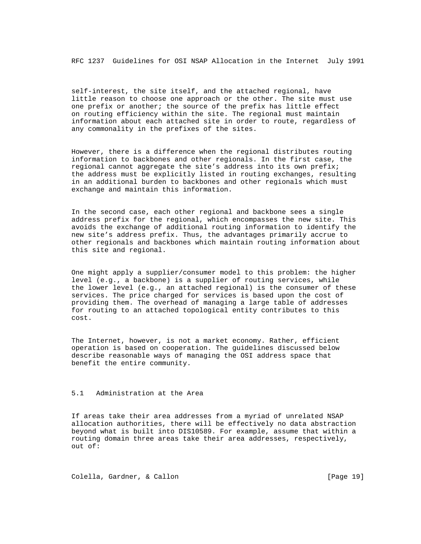self-interest, the site itself, and the attached regional, have little reason to choose one approach or the other. The site must use one prefix or another; the source of the prefix has little effect on routing efficiency within the site. The regional must maintain information about each attached site in order to route, regardless of any commonality in the prefixes of the sites.

 However, there is a difference when the regional distributes routing information to backbones and other regionals. In the first case, the regional cannot aggregate the site's address into its own prefix; the address must be explicitly listed in routing exchanges, resulting in an additional burden to backbones and other regionals which must exchange and maintain this information.

 In the second case, each other regional and backbone sees a single address prefix for the regional, which encompasses the new site. This avoids the exchange of additional routing information to identify the new site's address prefix. Thus, the advantages primarily accrue to other regionals and backbones which maintain routing information about this site and regional.

 One might apply a supplier/consumer model to this problem: the higher level (e.g., a backbone) is a supplier of routing services, while the lower level (e.g., an attached regional) is the consumer of these services. The price charged for services is based upon the cost of providing them. The overhead of managing a large table of addresses for routing to an attached topological entity contributes to this cost.

 The Internet, however, is not a market economy. Rather, efficient operation is based on cooperation. The guidelines discussed below describe reasonable ways of managing the OSI address space that benefit the entire community.

# 5.1 Administration at the Area

 If areas take their area addresses from a myriad of unrelated NSAP allocation authorities, there will be effectively no data abstraction beyond what is built into DIS10589. For example, assume that within a routing domain three areas take their area addresses, respectively, out of:

Colella, Gardner, & Callon [Page 19]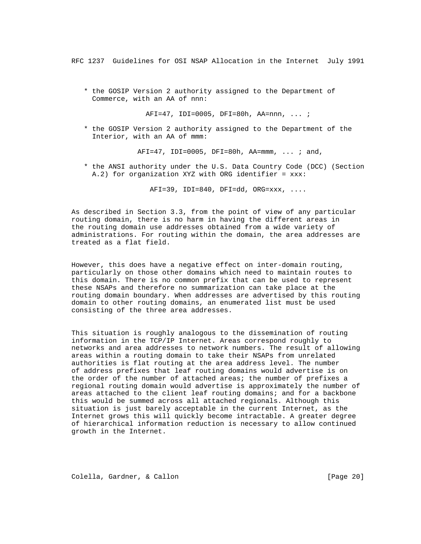\* the GOSIP Version 2 authority assigned to the Department of Commerce, with an AA of nnn:

AFI=47, IDI=0005, DFI=80h, AA=nnn, ... ;

 \* the GOSIP Version 2 authority assigned to the Department of the Interior, with an AA of mmm:

AFI=47, IDI=0005, DFI=80h, AA=mmm, ... ; and,

 \* the ANSI authority under the U.S. Data Country Code (DCC) (Section A.2) for organization XYZ with ORG identifier = xxx:

AFI=39, IDI=840, DFI=dd, ORG=xxx, ....

 As described in Section 3.3, from the point of view of any particular routing domain, there is no harm in having the different areas in the routing domain use addresses obtained from a wide variety of administrations. For routing within the domain, the area addresses are treated as a flat field.

 However, this does have a negative effect on inter-domain routing, particularly on those other domains which need to maintain routes to this domain. There is no common prefix that can be used to represent these NSAPs and therefore no summarization can take place at the routing domain boundary. When addresses are advertised by this routing domain to other routing domains, an enumerated list must be used consisting of the three area addresses.

 This situation is roughly analogous to the dissemination of routing information in the TCP/IP Internet. Areas correspond roughly to networks and area addresses to network numbers. The result of allowing areas within a routing domain to take their NSAPs from unrelated authorities is flat routing at the area address level. The number of address prefixes that leaf routing domains would advertise is on the order of the number of attached areas; the number of prefixes a regional routing domain would advertise is approximately the number of areas attached to the client leaf routing domains; and for a backbone this would be summed across all attached regionals. Although this situation is just barely acceptable in the current Internet, as the Internet grows this will quickly become intractable. A greater degree of hierarchical information reduction is necessary to allow continued growth in the Internet.

Colella, Gardner, & Callon [Page 20]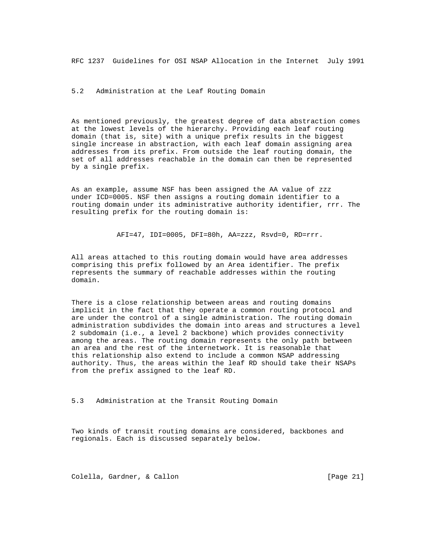5.2 Administration at the Leaf Routing Domain

 As mentioned previously, the greatest degree of data abstraction comes at the lowest levels of the hierarchy. Providing each leaf routing domain (that is, site) with a unique prefix results in the biggest single increase in abstraction, with each leaf domain assigning area addresses from its prefix. From outside the leaf routing domain, the set of all addresses reachable in the domain can then be represented by a single prefix.

 As an example, assume NSF has been assigned the AA value of zzz under ICD=0005. NSF then assigns a routing domain identifier to a routing domain under its administrative authority identifier, rrr. The resulting prefix for the routing domain is:

AFI=47, IDI=0005, DFI=80h, AA=zzz, Rsvd=0, RD=rrr.

 All areas attached to this routing domain would have area addresses comprising this prefix followed by an Area identifier. The prefix represents the summary of reachable addresses within the routing domain.

 There is a close relationship between areas and routing domains implicit in the fact that they operate a common routing protocol and are under the control of a single administration. The routing domain administration subdivides the domain into areas and structures a level 2 subdomain (i.e., a level 2 backbone) which provides connectivity among the areas. The routing domain represents the only path between an area and the rest of the internetwork. It is reasonable that this relationship also extend to include a common NSAP addressing authority. Thus, the areas within the leaf RD should take their NSAPs from the prefix assigned to the leaf RD.

5.3 Administration at the Transit Routing Domain

 Two kinds of transit routing domains are considered, backbones and regionals. Each is discussed separately below.

Colella, Gardner, & Callon [Page 21]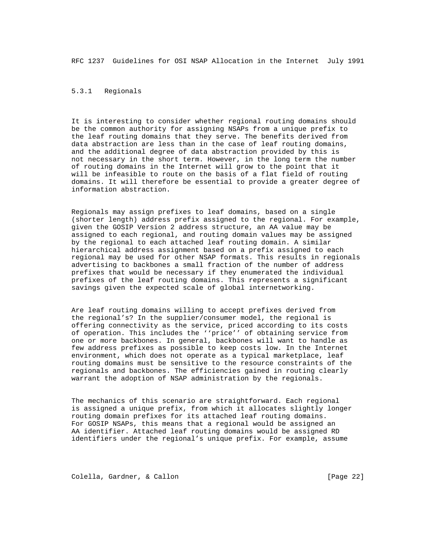# 5.3.1 Regionals

 It is interesting to consider whether regional routing domains should be the common authority for assigning NSAPs from a unique prefix to the leaf routing domains that they serve. The benefits derived from data abstraction are less than in the case of leaf routing domains, and the additional degree of data abstraction provided by this is not necessary in the short term. However, in the long term the number of routing domains in the Internet will grow to the point that it will be infeasible to route on the basis of a flat field of routing domains. It will therefore be essential to provide a greater degree of information abstraction.

 Regionals may assign prefixes to leaf domains, based on a single (shorter length) address prefix assigned to the regional. For example, given the GOSIP Version 2 address structure, an AA value may be assigned to each regional, and routing domain values may be assigned by the regional to each attached leaf routing domain. A similar hierarchical address assignment based on a prefix assigned to each regional may be used for other NSAP formats. This results in regionals advertising to backbones a small fraction of the number of address prefixes that would be necessary if they enumerated the individual prefixes of the leaf routing domains. This represents a significant savings given the expected scale of global internetworking.

 Are leaf routing domains willing to accept prefixes derived from the regional's? In the supplier/consumer model, the regional is offering connectivity as the service, priced according to its costs of operation. This includes the ''price'' of obtaining service from one or more backbones. In general, backbones will want to handle as few address prefixes as possible to keep costs low. In the Internet environment, which does not operate as a typical marketplace, leaf routing domains must be sensitive to the resource constraints of the regionals and backbones. The efficiencies gained in routing clearly warrant the adoption of NSAP administration by the regionals.

 The mechanics of this scenario are straightforward. Each regional is assigned a unique prefix, from which it allocates slightly longer routing domain prefixes for its attached leaf routing domains. For GOSIP NSAPs, this means that a regional would be assigned an AA identifier. Attached leaf routing domains would be assigned RD identifiers under the regional's unique prefix. For example, assume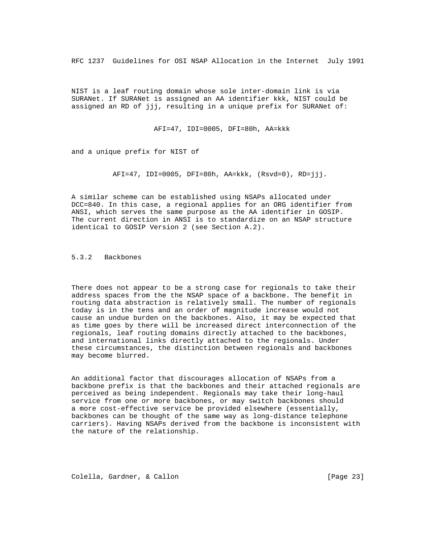NIST is a leaf routing domain whose sole inter-domain link is via SURANet. If SURANet is assigned an AA identifier kkk, NIST could be assigned an RD of jjj, resulting in a unique prefix for SURANet of:

AFI=47, IDI=0005, DFI=80h, AA=kkk

and a unique prefix for NIST of

AFI=47, IDI=0005, DFI=80h, AA=kkk, (Rsvd=0), RD=jjj.

 A similar scheme can be established using NSAPs allocated under DCC=840. In this case, a regional applies for an ORG identifier from ANSI, which serves the same purpose as the AA identifier in GOSIP. The current direction in ANSI is to standardize on an NSAP structure identical to GOSIP Version 2 (see Section A.2).

5.3.2 Backbones

 There does not appear to be a strong case for regionals to take their address spaces from the the NSAP space of a backbone. The benefit in routing data abstraction is relatively small. The number of regionals today is in the tens and an order of magnitude increase would not cause an undue burden on the backbones. Also, it may be expected that as time goes by there will be increased direct interconnection of the regionals, leaf routing domains directly attached to the backbones, and international links directly attached to the regionals. Under these circumstances, the distinction between regionals and backbones may become blurred.

 An additional factor that discourages allocation of NSAPs from a backbone prefix is that the backbones and their attached regionals are perceived as being independent. Regionals may take their long-haul service from one or more backbones, or may switch backbones should a more cost-effective service be provided elsewhere (essentially, backbones can be thought of the same way as long-distance telephone carriers). Having NSAPs derived from the backbone is inconsistent with the nature of the relationship.

Colella, Gardner, & Callon [Page 23]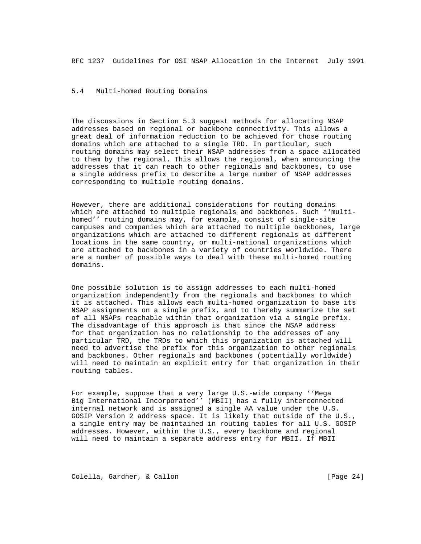# 5.4 Multi-homed Routing Domains

 The discussions in Section 5.3 suggest methods for allocating NSAP addresses based on regional or backbone connectivity. This allows a great deal of information reduction to be achieved for those routing domains which are attached to a single TRD. In particular, such routing domains may select their NSAP addresses from a space allocated to them by the regional. This allows the regional, when announcing the addresses that it can reach to other regionals and backbones, to use a single address prefix to describe a large number of NSAP addresses corresponding to multiple routing domains.

 However, there are additional considerations for routing domains which are attached to multiple regionals and backbones. Such ''multi homed'' routing domains may, for example, consist of single-site campuses and companies which are attached to multiple backbones, large organizations which are attached to different regionals at different locations in the same country, or multi-national organizations which are attached to backbones in a variety of countries worldwide. There are a number of possible ways to deal with these multi-homed routing domains.

 One possible solution is to assign addresses to each multi-homed organization independently from the regionals and backbones to which it is attached. This allows each multi-homed organization to base its NSAP assignments on a single prefix, and to thereby summarize the set of all NSAPs reachable within that organization via a single prefix. The disadvantage of this approach is that since the NSAP address for that organization has no relationship to the addresses of any particular TRD, the TRDs to which this organization is attached will need to advertise the prefix for this organization to other regionals and backbones. Other regionals and backbones (potentially worldwide) will need to maintain an explicit entry for that organization in their routing tables.

 For example, suppose that a very large U.S.-wide company ''Mega Big International Incorporated'' (MBII) has a fully interconnected internal network and is assigned a single AA value under the U.S. GOSIP Version 2 address space. It is likely that outside of the U.S., a single entry may be maintained in routing tables for all U.S. GOSIP addresses. However, within the U.S., every backbone and regional will need to maintain a separate address entry for MBII. If MBII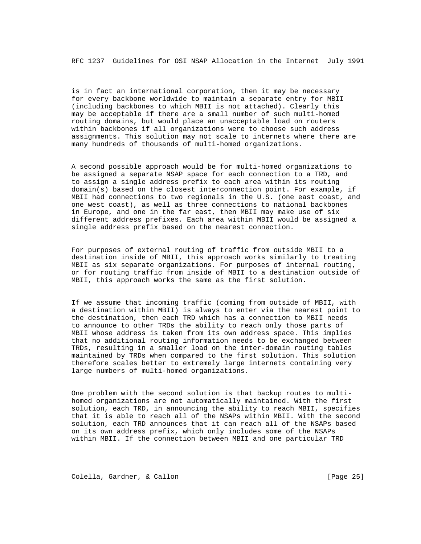is in fact an international corporation, then it may be necessary for every backbone worldwide to maintain a separate entry for MBII (including backbones to which MBII is not attached). Clearly this may be acceptable if there are a small number of such multi-homed routing domains, but would place an unacceptable load on routers within backbones if all organizations were to choose such address assignments. This solution may not scale to internets where there are many hundreds of thousands of multi-homed organizations.

 A second possible approach would be for multi-homed organizations to be assigned a separate NSAP space for each connection to a TRD, and to assign a single address prefix to each area within its routing domain(s) based on the closest interconnection point. For example, if MBII had connections to two regionals in the U.S. (one east coast, and one west coast), as well as three connections to national backbones in Europe, and one in the far east, then MBII may make use of six different address prefixes. Each area within MBII would be assigned a single address prefix based on the nearest connection.

 For purposes of external routing of traffic from outside MBII to a destination inside of MBII, this approach works similarly to treating MBII as six separate organizations. For purposes of internal routing, or for routing traffic from inside of MBII to a destination outside of MBII, this approach works the same as the first solution.

 If we assume that incoming traffic (coming from outside of MBII, with a destination within MBII) is always to enter via the nearest point to the destination, then each TRD which has a connection to MBII needs to announce to other TRDs the ability to reach only those parts of MBII whose address is taken from its own address space. This implies that no additional routing information needs to be exchanged between TRDs, resulting in a smaller load on the inter-domain routing tables maintained by TRDs when compared to the first solution. This solution therefore scales better to extremely large internets containing very large numbers of multi-homed organizations.

 One problem with the second solution is that backup routes to multi homed organizations are not automatically maintained. With the first solution, each TRD, in announcing the ability to reach MBII, specifies that it is able to reach all of the NSAPs within MBII. With the second solution, each TRD announces that it can reach all of the NSAPs based on its own address prefix, which only includes some of the NSAPs within MBII. If the connection between MBII and one particular TRD

Colella, Gardner, & Callon [Page 25]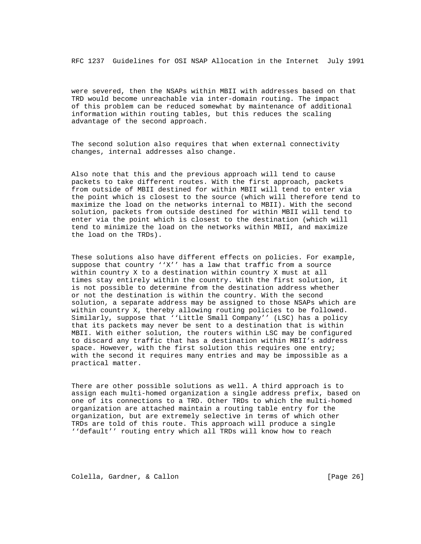were severed, then the NSAPs within MBII with addresses based on that TRD would become unreachable via inter-domain routing. The impact of this problem can be reduced somewhat by maintenance of additional information within routing tables, but this reduces the scaling advantage of the second approach.

 The second solution also requires that when external connectivity changes, internal addresses also change.

 Also note that this and the previous approach will tend to cause packets to take different routes. With the first approach, packets from outside of MBII destined for within MBII will tend to enter via the point which is closest to the source (which will therefore tend to maximize the load on the networks internal to MBII). With the second solution, packets from outside destined for within MBII will tend to enter via the point which is closest to the destination (which will tend to minimize the load on the networks within MBII, and maximize the load on the TRDs).

 These solutions also have different effects on policies. For example, suppose that country ''X'' has a law that traffic from a source within country X to a destination within country X must at all times stay entirely within the country. With the first solution, it is not possible to determine from the destination address whether or not the destination is within the country. With the second solution, a separate address may be assigned to those NSAPs which are within country X, thereby allowing routing policies to be followed. Similarly, suppose that ''Little Small Company'' (LSC) has a policy that its packets may never be sent to a destination that is within MBII. With either solution, the routers within LSC may be configured to discard any traffic that has a destination within MBII's address space. However, with the first solution this requires one entry; with the second it requires many entries and may be impossible as a practical matter.

 There are other possible solutions as well. A third approach is to assign each multi-homed organization a single address prefix, based on one of its connections to a TRD. Other TRDs to which the multi-homed organization are attached maintain a routing table entry for the organization, but are extremely selective in terms of which other TRDs are told of this route. This approach will produce a single ''default'' routing entry which all TRDs will know how to reach

Colella, Gardner, & Callon [Page 26]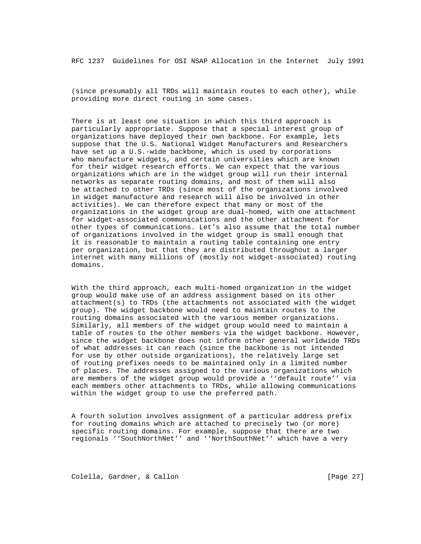(since presumably all TRDs will maintain routes to each other), while providing more direct routing in some cases.

 There is at least one situation in which this third approach is particularly appropriate. Suppose that a special interest group of organizations have deployed their own backbone. For example, lets suppose that the U.S. National Widget Manufacturers and Researchers have set up a U.S.-wide backbone, which is used by corporations who manufacture widgets, and certain universities which are known for their widget research efforts. We can expect that the various organizations which are in the widget group will run their internal networks as separate routing domains, and most of them will also be attached to other TRDs (since most of the organizations involved in widget manufacture and research will also be involved in other activities). We can therefore expect that many or most of the organizations in the widget group are dual-homed, with one attachment for widget-associated communications and the other attachment for other types of communications. Let's also assume that the total number of organizations involved in the widget group is small enough that it is reasonable to maintain a routing table containing one entry per organization, but that they are distributed throughout a larger internet with many millions of (mostly not widget-associated) routing domains.

 With the third approach, each multi-homed organization in the widget group would make use of an address assignment based on its other attachment(s) to TRDs (the attachments not associated with the widget group). The widget backbone would need to maintain routes to the routing domains associated with the various member organizations. Similarly, all members of the widget group would need to maintain a table of routes to the other members via the widget backbone. However, since the widget backbone does not inform other general worldwide TRDs of what addresses it can reach (since the backbone is not intended for use by other outside organizations), the relatively large set of routing prefixes needs to be maintained only in a limited number of places. The addresses assigned to the various organizations which are members of the widget group would provide a ''default route'' via each members other attachments to TRDs, while allowing communications within the widget group to use the preferred path.

 A fourth solution involves assignment of a particular address prefix for routing domains which are attached to precisely two (or more) specific routing domains. For example, suppose that there are two regionals ''SouthNorthNet'' and ''NorthSouthNet'' which have a very

Colella, Gardner, & Callon [Page 27]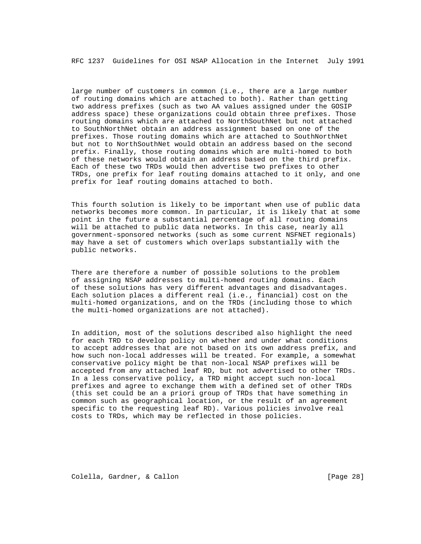large number of customers in common (i.e., there are a large number of routing domains which are attached to both). Rather than getting two address prefixes (such as two AA values assigned under the GOSIP address space) these organizations could obtain three prefixes. Those routing domains which are attached to NorthSouthNet but not attached to SouthNorthNet obtain an address assignment based on one of the prefixes. Those routing domains which are attached to SouthNorthNet but not to NorthSouthNet would obtain an address based on the second prefix. Finally, those routing domains which are multi-homed to both of these networks would obtain an address based on the third prefix. Each of these two TRDs would then advertise two prefixes to other TRDs, one prefix for leaf routing domains attached to it only, and one prefix for leaf routing domains attached to both.

 This fourth solution is likely to be important when use of public data networks becomes more common. In particular, it is likely that at some point in the future a substantial percentage of all routing domains will be attached to public data networks. In this case, nearly all government-sponsored networks (such as some current NSFNET regionals) may have a set of customers which overlaps substantially with the public networks.

 There are therefore a number of possible solutions to the problem of assigning NSAP addresses to multi-homed routing domains. Each of these solutions has very different advantages and disadvantages. Each solution places a different real (i.e., financial) cost on the multi-homed organizations, and on the TRDs (including those to which the multi-homed organizations are not attached).

 In addition, most of the solutions described also highlight the need for each TRD to develop policy on whether and under what conditions to accept addresses that are not based on its own address prefix, and how such non-local addresses will be treated. For example, a somewhat conservative policy might be that non-local NSAP prefixes will be accepted from any attached leaf RD, but not advertised to other TRDs. In a less conservative policy, a TRD might accept such non-local prefixes and agree to exchange them with a defined set of other TRDs (this set could be an a priori group of TRDs that have something in common such as geographical location, or the result of an agreement specific to the requesting leaf RD). Various policies involve real costs to TRDs, which may be reflected in those policies.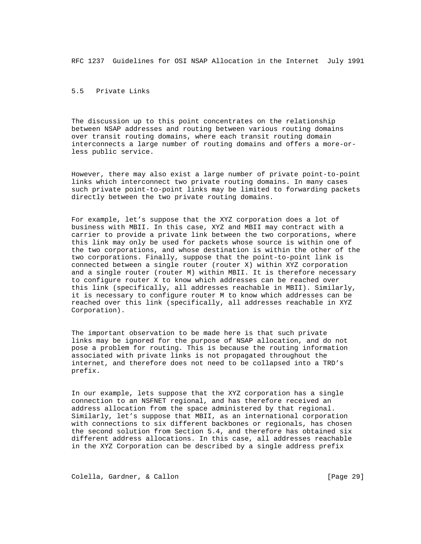### 5.5 Private Links

 The discussion up to this point concentrates on the relationship between NSAP addresses and routing between various routing domains over transit routing domains, where each transit routing domain interconnects a large number of routing domains and offers a more-or less public service.

 However, there may also exist a large number of private point-to-point links which interconnect two private routing domains. In many cases such private point-to-point links may be limited to forwarding packets directly between the two private routing domains.

 For example, let's suppose that the XYZ corporation does a lot of business with MBII. In this case, XYZ and MBII may contract with a carrier to provide a private link between the two corporations, where this link may only be used for packets whose source is within one of the two corporations, and whose destination is within the other of the two corporations. Finally, suppose that the point-to-point link is connected between a single router (router X) within XYZ corporation and a single router (router M) within MBII. It is therefore necessary to configure router X to know which addresses can be reached over this link (specifically, all addresses reachable in MBII). Similarly, it is necessary to configure router M to know which addresses can be reached over this link (specifically, all addresses reachable in XYZ Corporation).

 The important observation to be made here is that such private links may be ignored for the purpose of NSAP allocation, and do not pose a problem for routing. This is because the routing information associated with private links is not propagated throughout the internet, and therefore does not need to be collapsed into a TRD's prefix.

 In our example, lets suppose that the XYZ corporation has a single connection to an NSFNET regional, and has therefore received an address allocation from the space administered by that regional. Similarly, let's suppose that MBII, as an international corporation with connections to six different backbones or regionals, has chosen the second solution from Section 5.4, and therefore has obtained six different address allocations. In this case, all addresses reachable in the XYZ Corporation can be described by a single address prefix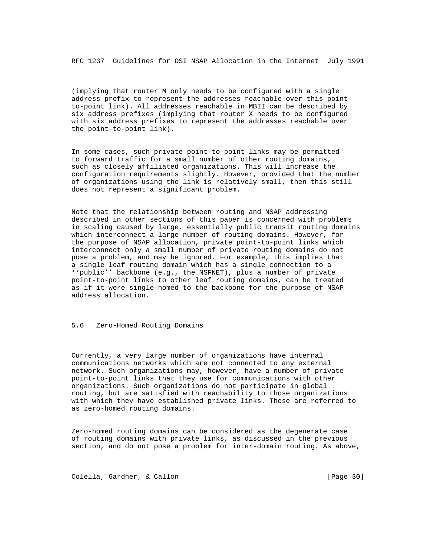(implying that router M only needs to be configured with a single address prefix to represent the addresses reachable over this point to-point link). All addresses reachable in MBII can be described by six address prefixes (implying that router X needs to be configured with six address prefixes to represent the addresses reachable over the point-to-point link).

 In some cases, such private point-to-point links may be permitted to forward traffic for a small number of other routing domains, such as closely affiliated organizations. This will increase the configuration requirements slightly. However, provided that the number of organizations using the link is relatively small, then this still does not represent a significant problem.

 Note that the relationship between routing and NSAP addressing described in other sections of this paper is concerned with problems in scaling caused by large, essentially public transit routing domains which interconnect a large number of routing domains. However, for the purpose of NSAP allocation, private point-to-point links which interconnect only a small number of private routing domains do not pose a problem, and may be ignored. For example, this implies that a single leaf routing domain which has a single connection to a ''public'' backbone (e.g., the NSFNET), plus a number of private point-to-point links to other leaf routing domains, can be treated as if it were single-homed to the backbone for the purpose of NSAP address allocation.

5.6 Zero-Homed Routing Domains

 Currently, a very large number of organizations have internal communications networks which are not connected to any external network. Such organizations may, however, have a number of private point-to-point links that they use for communications with other organizations. Such organizations do not participate in global routing, but are satisfied with reachability to those organizations with which they have established private links. These are referred to as zero-homed routing domains.

 Zero-homed routing domains can be considered as the degenerate case of routing domains with private links, as discussed in the previous section, and do not pose a problem for inter-domain routing. As above,

Colella, Gardner, & Callon [Page 30]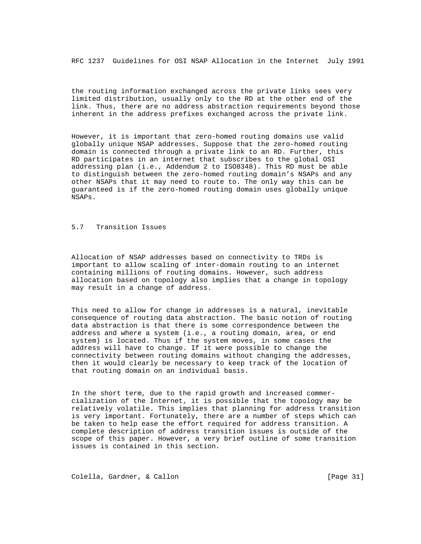the routing information exchanged across the private links sees very limited distribution, usually only to the RD at the other end of the link. Thus, there are no address abstraction requirements beyond those inherent in the address prefixes exchanged across the private link.

 However, it is important that zero-homed routing domains use valid globally unique NSAP addresses. Suppose that the zero-homed routing domain is connected through a private link to an RD. Further, this RD participates in an internet that subscribes to the global OSI addressing plan (i.e., Addendum 2 to ISO8348). This RD must be able to distinguish between the zero-homed routing domain's NSAPs and any other NSAPs that it may need to route to. The only way this can be guaranteed is if the zero-homed routing domain uses globally unique NSAPs.

# 5.7 Transition Issues

 Allocation of NSAP addresses based on connectivity to TRDs is important to allow scaling of inter-domain routing to an internet containing millions of routing domains. However, such address allocation based on topology also implies that a change in topology may result in a change of address.

 This need to allow for change in addresses is a natural, inevitable consequence of routing data abstraction. The basic notion of routing data abstraction is that there is some correspondence between the address and where a system (i.e., a routing domain, area, or end system) is located. Thus if the system moves, in some cases the address will have to change. If it were possible to change the connectivity between routing domains without changing the addresses, then it would clearly be necessary to keep track of the location of that routing domain on an individual basis.

 In the short term, due to the rapid growth and increased commer cialization of the Internet, it is possible that the topology may be relatively volatile. This implies that planning for address transition is very important. Fortunately, there are a number of steps which can be taken to help ease the effort required for address transition. A complete description of address transition issues is outside of the scope of this paper. However, a very brief outline of some transition issues is contained in this section.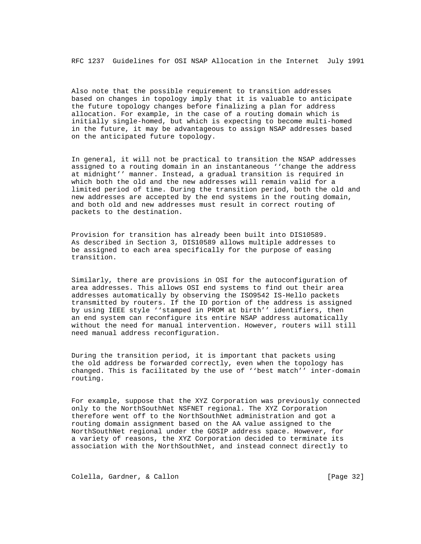Also note that the possible requirement to transition addresses based on changes in topology imply that it is valuable to anticipate the future topology changes before finalizing a plan for address allocation. For example, in the case of a routing domain which is initially single-homed, but which is expecting to become multi-homed in the future, it may be advantageous to assign NSAP addresses based on the anticipated future topology.

 In general, it will not be practical to transition the NSAP addresses assigned to a routing domain in an instantaneous ''change the address at midnight'' manner. Instead, a gradual transition is required in which both the old and the new addresses will remain valid for a limited period of time. During the transition period, both the old and new addresses are accepted by the end systems in the routing domain, and both old and new addresses must result in correct routing of packets to the destination.

 Provision for transition has already been built into DIS10589. As described in Section 3, DIS10589 allows multiple addresses to be assigned to each area specifically for the purpose of easing transition.

 Similarly, there are provisions in OSI for the autoconfiguration of area addresses. This allows OSI end systems to find out their area addresses automatically by observing the ISO9542 IS-Hello packets transmitted by routers. If the ID portion of the address is assigned by using IEEE style ''stamped in PROM at birth'' identifiers, then an end system can reconfigure its entire NSAP address automatically without the need for manual intervention. However, routers will still need manual address reconfiguration.

 During the transition period, it is important that packets using the old address be forwarded correctly, even when the topology has changed. This is facilitated by the use of ''best match'' inter-domain routing.

 For example, suppose that the XYZ Corporation was previously connected only to the NorthSouthNet NSFNET regional. The XYZ Corporation therefore went off to the NorthSouthNet administration and got a routing domain assignment based on the AA value assigned to the NorthSouthNet regional under the GOSIP address space. However, for a variety of reasons, the XYZ Corporation decided to terminate its association with the NorthSouthNet, and instead connect directly to

Colella, Gardner, & Callon [Page 32]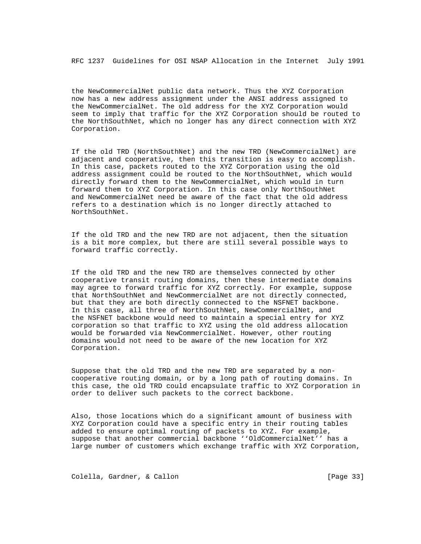the NewCommercialNet public data network. Thus the XYZ Corporation now has a new address assignment under the ANSI address assigned to the NewCommercialNet. The old address for the XYZ Corporation would seem to imply that traffic for the XYZ Corporation should be routed to the NorthSouthNet, which no longer has any direct connection with XYZ Corporation.

 If the old TRD (NorthSouthNet) and the new TRD (NewCommercialNet) are adjacent and cooperative, then this transition is easy to accomplish. In this case, packets routed to the XYZ Corporation using the old address assignment could be routed to the NorthSouthNet, which would directly forward them to the NewCommercialNet, which would in turn forward them to XYZ Corporation. In this case only NorthSouthNet and NewCommercialNet need be aware of the fact that the old address refers to a destination which is no longer directly attached to NorthSouthNet.

 If the old TRD and the new TRD are not adjacent, then the situation is a bit more complex, but there are still several possible ways to forward traffic correctly.

 If the old TRD and the new TRD are themselves connected by other cooperative transit routing domains, then these intermediate domains may agree to forward traffic for XYZ correctly. For example, suppose that NorthSouthNet and NewCommercialNet are not directly connected, but that they are both directly connected to the NSFNET backbone. In this case, all three of NorthSouthNet, NewCommercialNet, and the NSFNET backbone would need to maintain a special entry for XYZ corporation so that traffic to XYZ using the old address allocation would be forwarded via NewCommercialNet. However, other routing domains would not need to be aware of the new location for XYZ Corporation.

 Suppose that the old TRD and the new TRD are separated by a non cooperative routing domain, or by a long path of routing domains. In this case, the old TRD could encapsulate traffic to XYZ Corporation in order to deliver such packets to the correct backbone.

 Also, those locations which do a significant amount of business with XYZ Corporation could have a specific entry in their routing tables added to ensure optimal routing of packets to XYZ. For example, suppose that another commercial backbone ''OldCommercialNet'' has a large number of customers which exchange traffic with XYZ Corporation,

Colella, Gardner, & Callon [Page 33]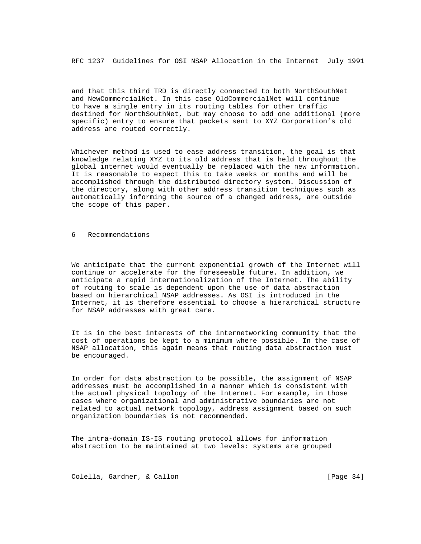and that this third TRD is directly connected to both NorthSouthNet and NewCommercialNet. In this case OldCommercialNet will continue to have a single entry in its routing tables for other traffic destined for NorthSouthNet, but may choose to add one additional (more specific) entry to ensure that packets sent to XYZ Corporation's old address are routed correctly.

 Whichever method is used to ease address transition, the goal is that knowledge relating XYZ to its old address that is held throughout the global internet would eventually be replaced with the new information. It is reasonable to expect this to take weeks or months and will be accomplished through the distributed directory system. Discussion of the directory, along with other address transition techniques such as automatically informing the source of a changed address, are outside the scope of this paper.

6 Recommendations

 We anticipate that the current exponential growth of the Internet will continue or accelerate for the foreseeable future. In addition, we anticipate a rapid internationalization of the Internet. The ability of routing to scale is dependent upon the use of data abstraction based on hierarchical NSAP addresses. As OSI is introduced in the Internet, it is therefore essential to choose a hierarchical structure for NSAP addresses with great care.

 It is in the best interests of the internetworking community that the cost of operations be kept to a minimum where possible. In the case of NSAP allocation, this again means that routing data abstraction must be encouraged.

 In order for data abstraction to be possible, the assignment of NSAP addresses must be accomplished in a manner which is consistent with the actual physical topology of the Internet. For example, in those cases where organizational and administrative boundaries are not related to actual network topology, address assignment based on such organization boundaries is not recommended.

 The intra-domain IS-IS routing protocol allows for information abstraction to be maintained at two levels: systems are grouped

Colella, Gardner, & Callon [Page 34]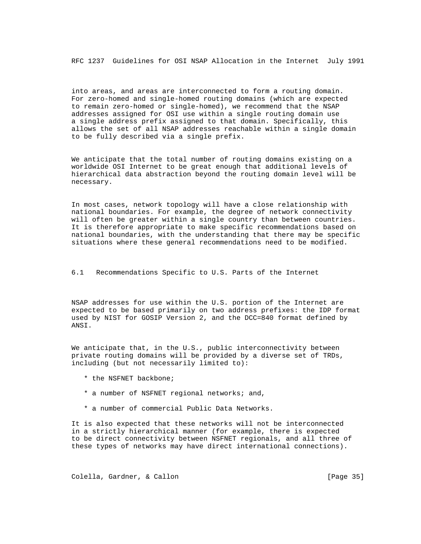into areas, and areas are interconnected to form a routing domain. For zero-homed and single-homed routing domains (which are expected to remain zero-homed or single-homed), we recommend that the NSAP addresses assigned for OSI use within a single routing domain use a single address prefix assigned to that domain. Specifically, this allows the set of all NSAP addresses reachable within a single domain to be fully described via a single prefix.

 We anticipate that the total number of routing domains existing on a worldwide OSI Internet to be great enough that additional levels of hierarchical data abstraction beyond the routing domain level will be necessary.

 In most cases, network topology will have a close relationship with national boundaries. For example, the degree of network connectivity will often be greater within a single country than between countries. It is therefore appropriate to make specific recommendations based on national boundaries, with the understanding that there may be specific situations where these general recommendations need to be modified.

6.1 Recommendations Specific to U.S. Parts of the Internet

 NSAP addresses for use within the U.S. portion of the Internet are expected to be based primarily on two address prefixes: the IDP format used by NIST for GOSIP Version 2, and the DCC=840 format defined by ANSI.

 We anticipate that, in the U.S., public interconnectivity between private routing domains will be provided by a diverse set of TRDs, including (but not necessarily limited to):

- \* the NSFNET backbone;
- \* a number of NSFNET regional networks; and,
- \* a number of commercial Public Data Networks.

 It is also expected that these networks will not be interconnected in a strictly hierarchical manner (for example, there is expected to be direct connectivity between NSFNET regionals, and all three of these types of networks may have direct international connections).

Colella, Gardner, & Callon [Page 35]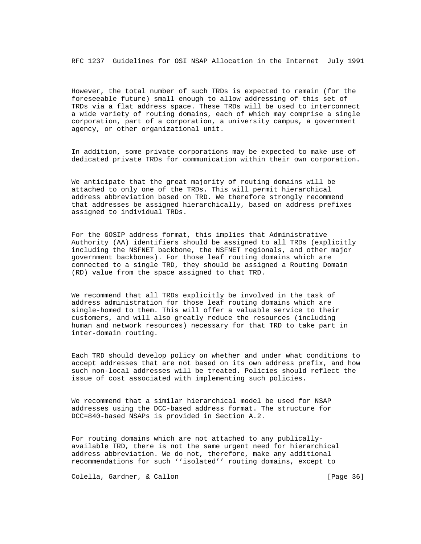However, the total number of such TRDs is expected to remain (for the foreseeable future) small enough to allow addressing of this set of TRDs via a flat address space. These TRDs will be used to interconnect a wide variety of routing domains, each of which may comprise a single corporation, part of a corporation, a university campus, a government agency, or other organizational unit.

 In addition, some private corporations may be expected to make use of dedicated private TRDs for communication within their own corporation.

 We anticipate that the great majority of routing domains will be attached to only one of the TRDs. This will permit hierarchical address abbreviation based on TRD. We therefore strongly recommend that addresses be assigned hierarchically, based on address prefixes assigned to individual TRDs.

 For the GOSIP address format, this implies that Administrative Authority (AA) identifiers should be assigned to all TRDs (explicitly including the NSFNET backbone, the NSFNET regionals, and other major government backbones). For those leaf routing domains which are connected to a single TRD, they should be assigned a Routing Domain (RD) value from the space assigned to that TRD.

 We recommend that all TRDs explicitly be involved in the task of address administration for those leaf routing domains which are single-homed to them. This will offer a valuable service to their customers, and will also greatly reduce the resources (including human and network resources) necessary for that TRD to take part in inter-domain routing.

 Each TRD should develop policy on whether and under what conditions to accept addresses that are not based on its own address prefix, and how such non-local addresses will be treated. Policies should reflect the issue of cost associated with implementing such policies.

 We recommend that a similar hierarchical model be used for NSAP addresses using the DCC-based address format. The structure for DCC=840-based NSAPs is provided in Section A.2.

 For routing domains which are not attached to any publically available TRD, there is not the same urgent need for hierarchical address abbreviation. We do not, therefore, make any additional recommendations for such ''isolated'' routing domains, except to

Colella, Gardner, & Callon [Page 36]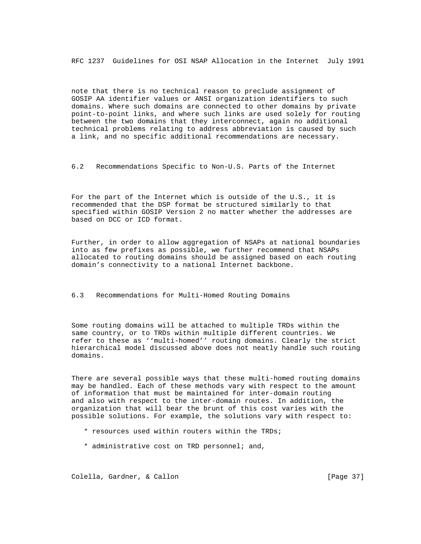note that there is no technical reason to preclude assignment of GOSIP AA identifier values or ANSI organization identifiers to such domains. Where such domains are connected to other domains by private point-to-point links, and where such links are used solely for routing between the two domains that they interconnect, again no additional technical problems relating to address abbreviation is caused by such a link, and no specific additional recommendations are necessary.

6.2 Recommendations Specific to Non-U.S. Parts of the Internet

 For the part of the Internet which is outside of the U.S., it is recommended that the DSP format be structured similarly to that specified within GOSIP Version 2 no matter whether the addresses are based on DCC or ICD format.

 Further, in order to allow aggregation of NSAPs at national boundaries into as few prefixes as possible, we further recommend that NSAPs allocated to routing domains should be assigned based on each routing domain's connectivity to a national Internet backbone.

6.3 Recommendations for Multi-Homed Routing Domains

 Some routing domains will be attached to multiple TRDs within the same country, or to TRDs within multiple different countries. We refer to these as ''multi-homed'' routing domains. Clearly the strict hierarchical model discussed above does not neatly handle such routing domains.

 There are several possible ways that these multi-homed routing domains may be handled. Each of these methods vary with respect to the amount of information that must be maintained for inter-domain routing and also with respect to the inter-domain routes. In addition, the organization that will bear the brunt of this cost varies with the possible solutions. For example, the solutions vary with respect to:

- \* resources used within routers within the TRDs;
- \* administrative cost on TRD personnel; and,

Colella, Gardner, & Callon [Page 37]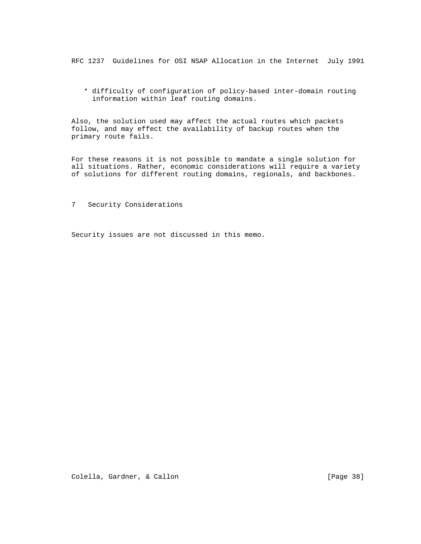\* difficulty of configuration of policy-based inter-domain routing information within leaf routing domains.

 Also, the solution used may affect the actual routes which packets follow, and may effect the availability of backup routes when the primary route fails.

 For these reasons it is not possible to mandate a single solution for all situations. Rather, economic considerations will require a variety of solutions for different routing domains, regionals, and backbones.

7 Security Considerations

Security issues are not discussed in this memo.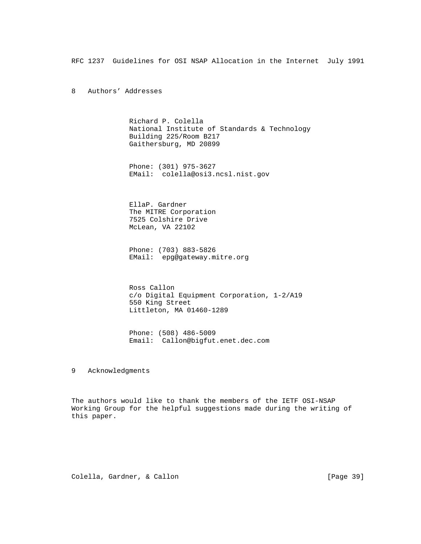8 Authors' Addresses

 Richard P. Colella National Institute of Standards & Technology Building 225/Room B217 Gaithersburg, MD 20899

 Phone: (301) 975-3627 EMail: colella@osi3.ncsl.nist.gov

 EllaP. Gardner The MITRE Corporation 7525 Colshire Drive McLean, VA 22102

 Phone: (703) 883-5826 EMail: epg@gateway.mitre.org

 Ross Callon c/o Digital Equipment Corporation, 1-2/A19 550 King Street Littleton, MA 01460-1289

 Phone: (508) 486-5009 Email: Callon@bigfut.enet.dec.com

9 Acknowledgments

 The authors would like to thank the members of the IETF OSI-NSAP Working Group for the helpful suggestions made during the writing of this paper.

Colella, Gardner, & Callon [Page 39]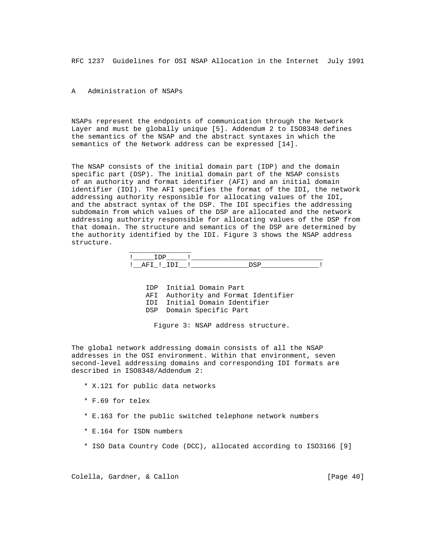# A Administration of NSAPs

 NSAPs represent the endpoints of communication through the Network Layer and must be globally unique [5]. Addendum 2 to ISO8348 defines the semantics of the NSAP and the abstract syntaxes in which the semantics of the Network address can be expressed [14].

 The NSAP consists of the initial domain part (IDP) and the domain specific part (DSP). The initial domain part of the NSAP consists of an authority and format identifier (AFI) and an initial domain identifier (IDI). The AFI specifies the format of the IDI, the network addressing authority responsible for allocating values of the IDI, and the abstract syntax of the DSP. The IDI specifies the addressing subdomain from which values of the DSP are allocated and the network addressing authority responsible for allocating values of the DSP from that domain. The structure and semantics of the DSP are determined by the authority identified by the IDI. Figure 3 shows the NSAP address structure.

 $\overline{\phantom{a}}$  ,  $\overline{\phantom{a}}$  ,  $\overline{\phantom{a}}$  ,  $\overline{\phantom{a}}$  ,  $\overline{\phantom{a}}$  ,  $\overline{\phantom{a}}$  ,  $\overline{\phantom{a}}$  ,  $\overline{\phantom{a}}$  ,  $\overline{\phantom{a}}$  ,  $\overline{\phantom{a}}$  ,  $\overline{\phantom{a}}$  ,  $\overline{\phantom{a}}$  ,  $\overline{\phantom{a}}$  ,  $\overline{\phantom{a}}$  ,  $\overline{\phantom{a}}$  ,  $\overline{\phantom{a}}$  !\_\_\_\_\_IDP\_\_\_\_\_!\_\_\_\_\_\_\_\_\_\_\_\_\_\_\_\_\_\_\_\_\_\_\_\_\_\_\_\_\_\_\_\_ !\_\_AFI\_!\_IDI\_\_!\_\_\_\_\_\_\_\_\_\_\_\_\_\_DSP\_\_\_\_\_\_\_\_\_\_\_\_\_\_!

 IDP Initial Domain Part AFI Authority and Format Identifier IDI Initial Domain Identifier DSP Domain Specific Part

Figure 3: NSAP address structure.

 The global network addressing domain consists of all the NSAP addresses in the OSI environment. Within that environment, seven second-level addressing domains and corresponding IDI formats are described in ISO8348/Addendum 2:

- \* X.121 for public data networks
- \* F.69 for telex
- \* E.163 for the public switched telephone network numbers
- \* E.164 for ISDN numbers
- \* ISO Data Country Code (DCC), allocated according to ISO3166 [9]

Colella, Gardner, & Callon [Page 40]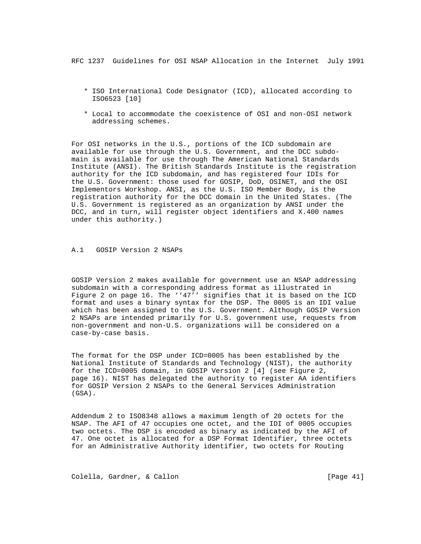- \* ISO International Code Designator (ICD), allocated according to ISO6523 [10]
- \* Local to accommodate the coexistence of OSI and non-OSI network addressing schemes.

 For OSI networks in the U.S., portions of the ICD subdomain are available for use through the U.S. Government, and the DCC subdo main is available for use through The American National Standards Institute (ANSI). The British Standards Institute is the registration authority for the ICD subdomain, and has registered four IDIs for the U.S. Government: those used for GOSIP, DoD, OSINET, and the OSI Implementors Workshop. ANSI, as the U.S. ISO Member Body, is the registration authority for the DCC domain in the United States. (The U.S. Government is registered as an organization by ANSI under the DCC, and in turn, will register object identifiers and X.400 names under this authority.)

# A.1 GOSIP Version 2 NSAPs

 GOSIP Version 2 makes available for government use an NSAP addressing subdomain with a corresponding address format as illustrated in Figure 2 on page 16. The ''47'' signifies that it is based on the ICD format and uses a binary syntax for the DSP. The 0005 is an IDI value which has been assigned to the U.S. Government. Although GOSIP Version 2 NSAPs are intended primarily for U.S. government use, requests from non-government and non-U.S. organizations will be considered on a case-by-case basis.

 The format for the DSP under ICD=0005 has been established by the National Institute of Standards and Technology (NIST), the authority for the ICD=0005 domain, in GOSIP Version 2 [4] (see Figure 2, page 16). NIST has delegated the authority to register AA identifiers for GOSIP Version 2 NSAPs to the General Services Administration (GSA).

 Addendum 2 to ISO8348 allows a maximum length of 20 octets for the NSAP. The AFI of 47 occupies one octet, and the IDI of 0005 occupies two octets. The DSP is encoded as binary as indicated by the AFI of 47. One octet is allocated for a DSP Format Identifier, three octets for an Administrative Authority identifier, two octets for Routing

Colella, Gardner, & Callon [Page 41]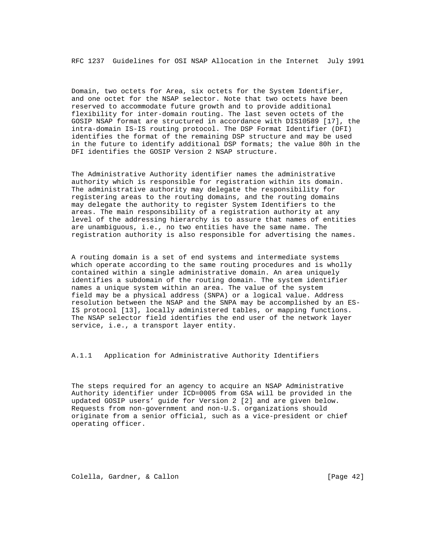Domain, two octets for Area, six octets for the System Identifier, and one octet for the NSAP selector. Note that two octets have been reserved to accommodate future growth and to provide additional flexibility for inter-domain routing. The last seven octets of the GOSIP NSAP format are structured in accordance with DIS10589 [17], the intra-domain IS-IS routing protocol. The DSP Format Identifier (DFI) identifies the format of the remaining DSP structure and may be used in the future to identify additional DSP formats; the value 80h in the DFI identifies the GOSIP Version 2 NSAP structure.

 The Administrative Authority identifier names the administrative authority which is responsible for registration within its domain. The administrative authority may delegate the responsibility for registering areas to the routing domains, and the routing domains may delegate the authority to register System Identifiers to the areas. The main responsibility of a registration authority at any level of the addressing hierarchy is to assure that names of entities are unambiguous, i.e., no two entities have the same name. The registration authority is also responsible for advertising the names.

 A routing domain is a set of end systems and intermediate systems which operate according to the same routing procedures and is wholly contained within a single administrative domain. An area uniquely identifies a subdomain of the routing domain. The system identifier names a unique system within an area. The value of the system field may be a physical address (SNPA) or a logical value. Address resolution between the NSAP and the SNPA may be accomplished by an ES- IS protocol [13], locally administered tables, or mapping functions. The NSAP selector field identifies the end user of the network layer service, i.e., a transport layer entity.

A.1.1 Application for Administrative Authority Identifiers

 The steps required for an agency to acquire an NSAP Administrative Authority identifier under ICD=0005 from GSA will be provided in the updated GOSIP users' guide for Version 2 [2] and are given below. Requests from non-government and non-U.S. organizations should originate from a senior official, such as a vice-president or chief operating officer.

Colella, Gardner, & Callon [Page 42]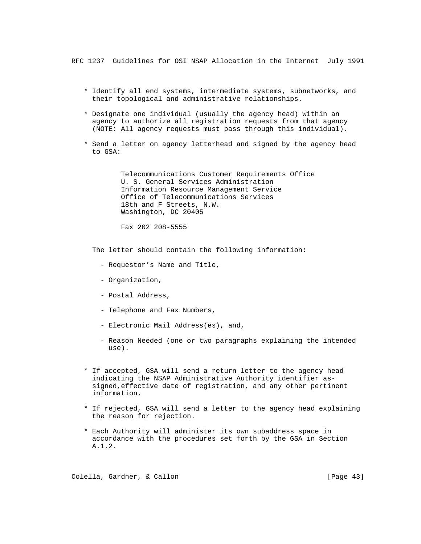- \* Identify all end systems, intermediate systems, subnetworks, and their topological and administrative relationships.
- \* Designate one individual (usually the agency head) within an agency to authorize all registration requests from that agency (NOTE: All agency requests must pass through this individual).
- \* Send a letter on agency letterhead and signed by the agency head to GSA:

 Telecommunications Customer Requirements Office U. S. General Services Administration Information Resource Management Service Office of Telecommunications Services 18th and F Streets, N.W. Washington, DC 20405

Fax 202 208-5555

The letter should contain the following information:

- Requestor's Name and Title,
- Organization,
- Postal Address,
- Telephone and Fax Numbers,
- Electronic Mail Address(es), and,
- Reason Needed (one or two paragraphs explaining the intended use).
- \* If accepted, GSA will send a return letter to the agency head indicating the NSAP Administrative Authority identifier as signed,effective date of registration, and any other pertinent information.
- \* If rejected, GSA will send a letter to the agency head explaining the reason for rejection.
- \* Each Authority will administer its own subaddress space in accordance with the procedures set forth by the GSA in Section A.1.2.

Colella, Gardner, & Callon [Page 43]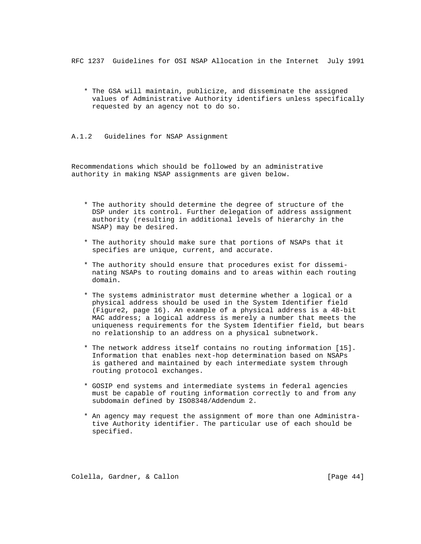\* The GSA will maintain, publicize, and disseminate the assigned values of Administrative Authority identifiers unless specifically requested by an agency not to do so.

A.1.2 Guidelines for NSAP Assignment

 Recommendations which should be followed by an administrative authority in making NSAP assignments are given below.

- \* The authority should determine the degree of structure of the DSP under its control. Further delegation of address assignment authority (resulting in additional levels of hierarchy in the NSAP) may be desired.
- \* The authority should make sure that portions of NSAPs that it specifies are unique, current, and accurate.
- \* The authority should ensure that procedures exist for dissemi nating NSAPs to routing domains and to areas within each routing domain.
- \* The systems administrator must determine whether a logical or a physical address should be used in the System Identifier field (Figure2, page 16). An example of a physical address is a 48-bit MAC address; a logical address is merely a number that meets the uniqueness requirements for the System Identifier field, but bears no relationship to an address on a physical subnetwork.
- \* The network address itself contains no routing information [15]. Information that enables next-hop determination based on NSAPs is gathered and maintained by each intermediate system through routing protocol exchanges.
- \* GOSIP end systems and intermediate systems in federal agencies must be capable of routing information correctly to and from any subdomain defined by ISO8348/Addendum 2.
- \* An agency may request the assignment of more than one Administra tive Authority identifier. The particular use of each should be specified.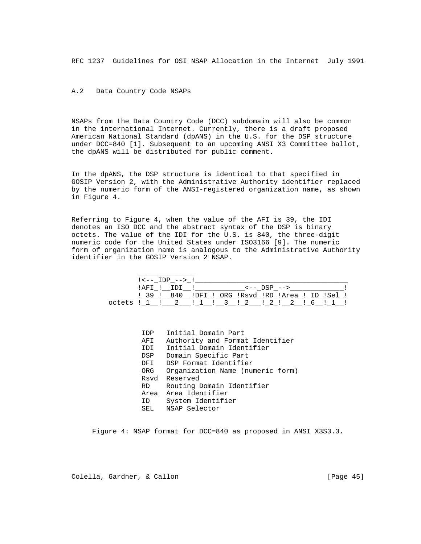# A.2 Data Country Code NSAPs

 NSAPs from the Data Country Code (DCC) subdomain will also be common in the international Internet. Currently, there is a draft proposed American National Standard (dpANS) in the U.S. for the DSP structure under DCC=840 [1]. Subsequent to an upcoming ANSI X3 Committee ballot, the dpANS will be distributed for public comment.

 In the dpANS, the DSP structure is identical to that specified in GOSIP Version 2, with the Administrative Authority identifier replaced by the numeric form of the ANSI-registered organization name, as shown in Figure 4.

 Referring to Figure 4, when the value of the AFI is 39, the IDI denotes an ISO DCC and the abstract syntax of the DSP is binary octets. The value of the IDI for the U.S. is 840, the three-digit numeric code for the United States under ISO3166 [9]. The numeric form of organization name is analogous to the Administrative Authority identifier in the GOSIP Version 2 NSAP.

| $! \leq - - 1DP - - > 1$ |                                               |  |
|--------------------------|-----------------------------------------------|--|
| !AFI ! IDI !             | $\leftarrow -$ DSP $\leftarrow$ $\rightarrow$ |  |
|                          |                                               |  |
|                          | octets ! 1 ! 2 ! 1 ! 3 ! 2 ! 2 ! 2 ! 6 ! 1 !  |  |

| IDP  | Initial Domain Part              |
|------|----------------------------------|
| AFI  | Authority and Format Identifier  |
| IDI  | Initial Domain Identifier        |
| DSP  | Domain Specific Part             |
| DFI  | DSP Format Identifier            |
| ORG  | Organization Name (numeric form) |
|      | Rsyd Reserved                    |
| RD – | Routing Domain Identifier        |
|      | Area Area Identifier             |
| ID   | System Identifier                |
| SEL  | NSAP Selector                    |

Figure 4: NSAP format for DCC=840 as proposed in ANSI X3S3.3.

Colella, Gardner, & Callon [Page 45]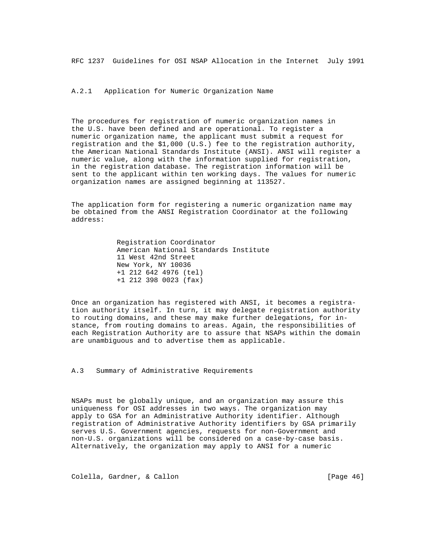A.2.1 Application for Numeric Organization Name

 The procedures for registration of numeric organization names in the U.S. have been defined and are operational. To register a numeric organization name, the applicant must submit a request for registration and the \$1,000 (U.S.) fee to the registration authority, the American National Standards Institute (ANSI). ANSI will register a numeric value, along with the information supplied for registration, in the registration database. The registration information will be sent to the applicant within ten working days. The values for numeric organization names are assigned beginning at 113527.

 The application form for registering a numeric organization name may be obtained from the ANSI Registration Coordinator at the following address:

> Registration Coordinator American National Standards Institute 11 West 42nd Street New York, NY 10036 +1 212 642 4976 (tel) +1 212 398 0023 (fax)

 Once an organization has registered with ANSI, it becomes a registra tion authority itself. In turn, it may delegate registration authority to routing domains, and these may make further delegations, for in stance, from routing domains to areas. Again, the responsibilities of each Registration Authority are to assure that NSAPs within the domain are unambiguous and to advertise them as applicable.

A.3 Summary of Administrative Requirements

 NSAPs must be globally unique, and an organization may assure this uniqueness for OSI addresses in two ways. The organization may apply to GSA for an Administrative Authority identifier. Although registration of Administrative Authority identifiers by GSA primarily serves U.S. Government agencies, requests for non-Government and non-U.S. organizations will be considered on a case-by-case basis. Alternatively, the organization may apply to ANSI for a numeric

Colella, Gardner, & Callon [Page 46]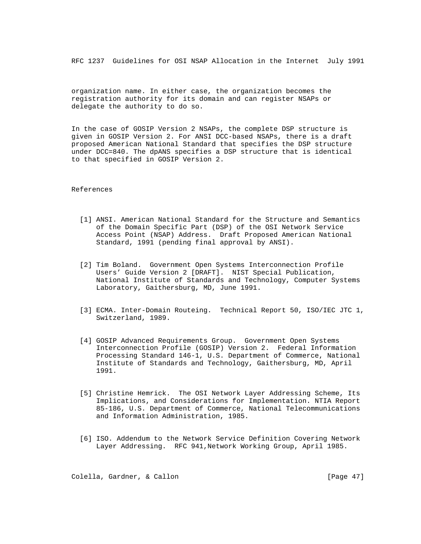organization name. In either case, the organization becomes the registration authority for its domain and can register NSAPs or delegate the authority to do so.

 In the case of GOSIP Version 2 NSAPs, the complete DSP structure is given in GOSIP Version 2. For ANSI DCC-based NSAPs, there is a draft proposed American National Standard that specifies the DSP structure under DCC=840. The dpANS specifies a DSP structure that is identical to that specified in GOSIP Version 2.

# References

- [1] ANSI. American National Standard for the Structure and Semantics of the Domain Specific Part (DSP) of the OSI Network Service Access Point (NSAP) Address. Draft Proposed American National Standard, 1991 (pending final approval by ANSI).
- [2] Tim Boland. Government Open Systems Interconnection Profile Users' Guide Version 2 [DRAFT]. NIST Special Publication, National Institute of Standards and Technology, Computer Systems Laboratory, Gaithersburg, MD, June 1991.
- [3] ECMA. Inter-Domain Routeing. Technical Report 50, ISO/IEC JTC 1, Switzerland, 1989.
- [4] GOSIP Advanced Requirements Group. Government Open Systems Interconnection Profile (GOSIP) Version 2. Federal Information Processing Standard 146-1, U.S. Department of Commerce, National Institute of Standards and Technology, Gaithersburg, MD, April 1991.
- [5] Christine Hemrick. The OSI Network Layer Addressing Scheme, Its Implications, and Considerations for Implementation. NTIA Report 85-186, U.S. Department of Commerce, National Telecommunications and Information Administration, 1985.
- [6] ISO. Addendum to the Network Service Definition Covering Network Layer Addressing. RFC 941,Network Working Group, April 1985.

Colella, Gardner, & Callon [Page 47]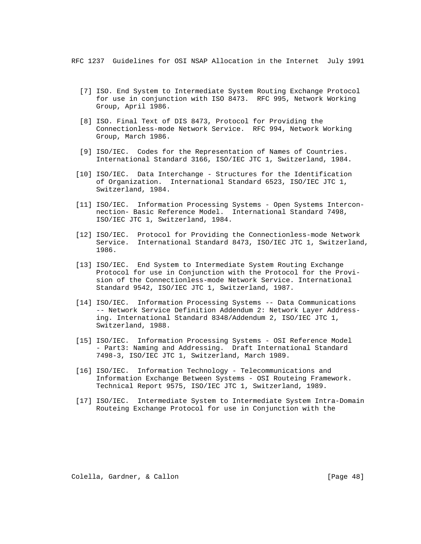- [7] ISO. End System to Intermediate System Routing Exchange Protocol for use in conjunction with ISO 8473. RFC 995, Network Working Group, April 1986.
- [8] ISO. Final Text of DIS 8473, Protocol for Providing the Connectionless-mode Network Service. RFC 994, Network Working Group, March 1986.
- [9] ISO/IEC. Codes for the Representation of Names of Countries. International Standard 3166, ISO/IEC JTC 1, Switzerland, 1984.
- [10] ISO/IEC. Data Interchange Structures for the Identification of Organization. International Standard 6523, ISO/IEC JTC 1, Switzerland, 1984.
- [11] ISO/IEC. Information Processing Systems Open Systems Intercon nection- Basic Reference Model. International Standard 7498, ISO/IEC JTC 1, Switzerland, 1984.
- [12] ISO/IEC. Protocol for Providing the Connectionless-mode Network Service. International Standard 8473, ISO/IEC JTC 1, Switzerland, 1986.
- [13] ISO/IEC. End System to Intermediate System Routing Exchange Protocol for use in Conjunction with the Protocol for the Provi sion of the Connectionless-mode Network Service. International Standard 9542, ISO/IEC JTC 1, Switzerland, 1987.
- [14] ISO/IEC. Information Processing Systems -- Data Communications -- Network Service Definition Addendum 2: Network Layer Address ing. International Standard 8348/Addendum 2, ISO/IEC JTC 1, Switzerland, 1988.
- [15] ISO/IEC. Information Processing Systems OSI Reference Model - Part3: Naming and Addressing. Draft International Standard 7498-3, ISO/IEC JTC 1, Switzerland, March 1989.
- [16] ISO/IEC. Information Technology Telecommunications and Information Exchange Between Systems - OSI Routeing Framework. Technical Report 9575, ISO/IEC JTC 1, Switzerland, 1989.
- [17] ISO/IEC. Intermediate System to Intermediate System Intra-Domain Routeing Exchange Protocol for use in Conjunction with the

Colella, Gardner, & Callon [Page 48]